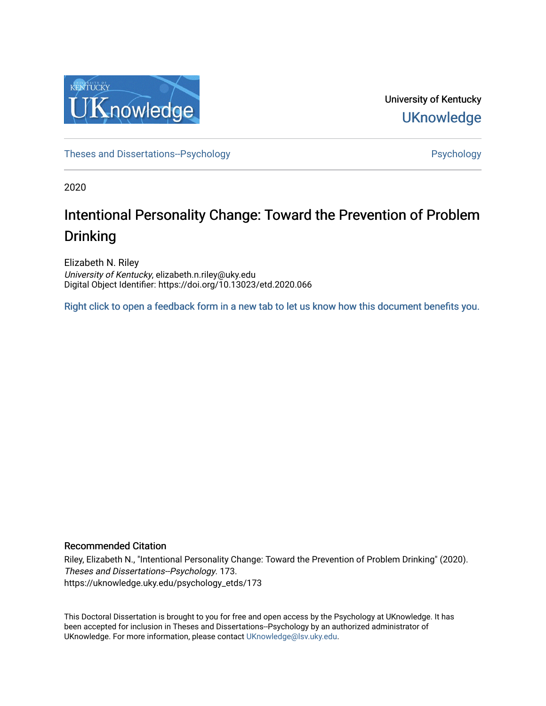

University of Kentucky **UKnowledge** 

[Theses and Dissertations--Psychology](https://uknowledge.uky.edu/psychology_etds) **Properties and Dissertations-Psychology Psychology** 

2020

# Intentional Personality Change: Toward the Prevention of Problem Drinking

Elizabeth N. Riley University of Kentucky, elizabeth.n.riley@uky.edu Digital Object Identifier: https://doi.org/10.13023/etd.2020.066

[Right click to open a feedback form in a new tab to let us know how this document benefits you.](https://uky.az1.qualtrics.com/jfe/form/SV_9mq8fx2GnONRfz7)

## Recommended Citation

Riley, Elizabeth N., "Intentional Personality Change: Toward the Prevention of Problem Drinking" (2020). Theses and Dissertations--Psychology. 173. https://uknowledge.uky.edu/psychology\_etds/173

This Doctoral Dissertation is brought to you for free and open access by the Psychology at UKnowledge. It has been accepted for inclusion in Theses and Dissertations--Psychology by an authorized administrator of UKnowledge. For more information, please contact [UKnowledge@lsv.uky.edu](mailto:UKnowledge@lsv.uky.edu).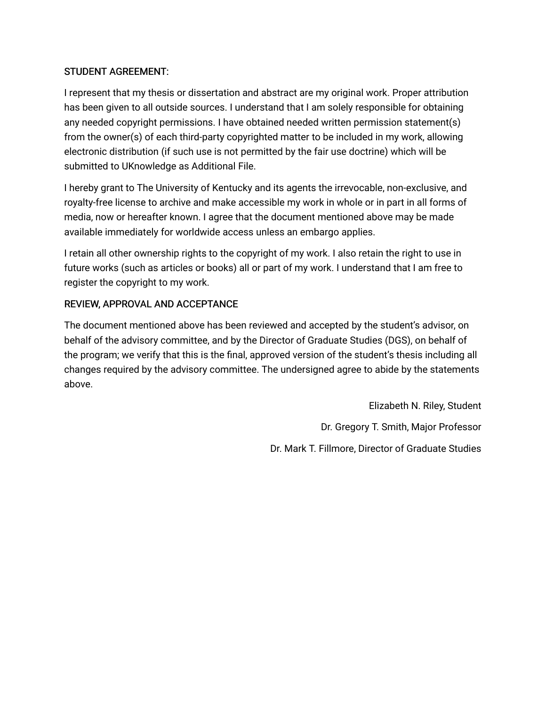# STUDENT AGREEMENT:

I represent that my thesis or dissertation and abstract are my original work. Proper attribution has been given to all outside sources. I understand that I am solely responsible for obtaining any needed copyright permissions. I have obtained needed written permission statement(s) from the owner(s) of each third-party copyrighted matter to be included in my work, allowing electronic distribution (if such use is not permitted by the fair use doctrine) which will be submitted to UKnowledge as Additional File.

I hereby grant to The University of Kentucky and its agents the irrevocable, non-exclusive, and royalty-free license to archive and make accessible my work in whole or in part in all forms of media, now or hereafter known. I agree that the document mentioned above may be made available immediately for worldwide access unless an embargo applies.

I retain all other ownership rights to the copyright of my work. I also retain the right to use in future works (such as articles or books) all or part of my work. I understand that I am free to register the copyright to my work.

# REVIEW, APPROVAL AND ACCEPTANCE

The document mentioned above has been reviewed and accepted by the student's advisor, on behalf of the advisory committee, and by the Director of Graduate Studies (DGS), on behalf of the program; we verify that this is the final, approved version of the student's thesis including all changes required by the advisory committee. The undersigned agree to abide by the statements above.

> Elizabeth N. Riley, Student Dr. Gregory T. Smith, Major Professor Dr. Mark T. Fillmore, Director of Graduate Studies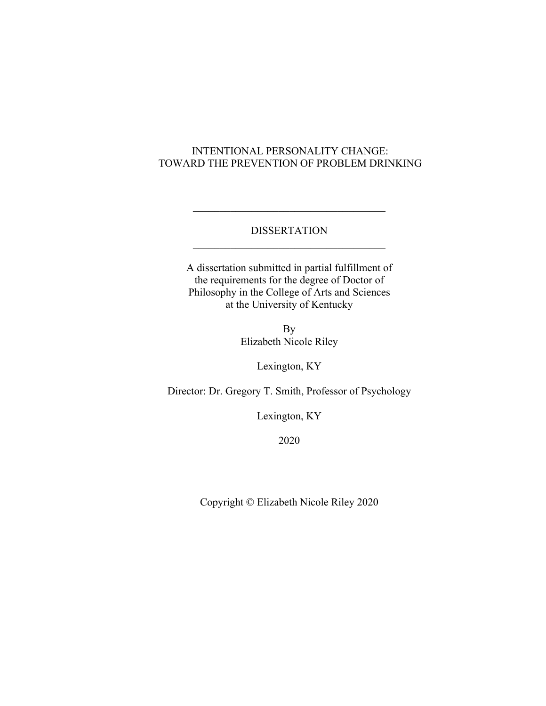# INTENTIONAL PERSONALITY CHANGE: TOWARD THE PREVENTION OF PROBLEM DRINKING

# DISSERTATION

A dissertation submitted in partial fulfillment of the requirements for the degree of Doctor of Philosophy in the College of Arts and Sciences at the University of Kentucky

> By Elizabeth Nicole Riley

> > Lexington, KY

Director: Dr. Gregory T. Smith, Professor of Psychology

Lexington, KY

2020

Copyright © Elizabeth Nicole Riley 2020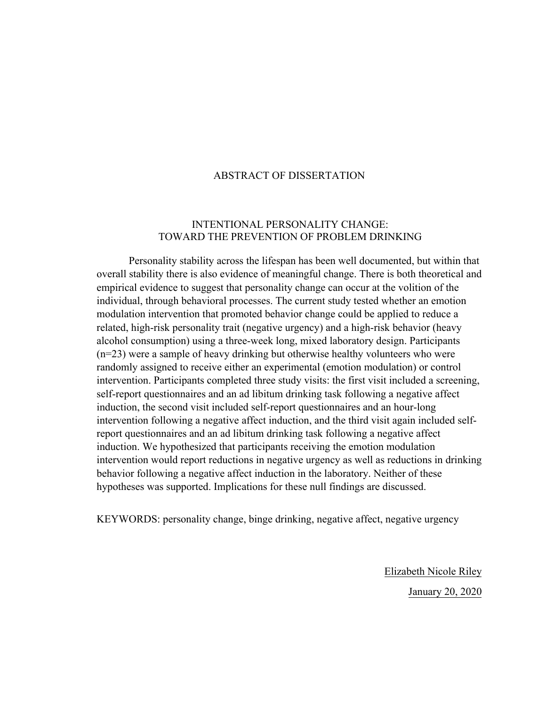# ABSTRACT OF DISSERTATION

# INTENTIONAL PERSONALITY CHANGE: TOWARD THE PREVENTION OF PROBLEM DRINKING

Personality stability across the lifespan has been well documented, but within that overall stability there is also evidence of meaningful change. There is both theoretical and empirical evidence to suggest that personality change can occur at the volition of the individual, through behavioral processes. The current study tested whether an emotion modulation intervention that promoted behavior change could be applied to reduce a related, high-risk personality trait (negative urgency) and a high-risk behavior (heavy alcohol consumption) using a three-week long, mixed laboratory design. Participants (n=23) were a sample of heavy drinking but otherwise healthy volunteers who were randomly assigned to receive either an experimental (emotion modulation) or control intervention. Participants completed three study visits: the first visit included a screening, self-report questionnaires and an ad libitum drinking task following a negative affect induction, the second visit included self-report questionnaires and an hour-long intervention following a negative affect induction, and the third visit again included selfreport questionnaires and an ad libitum drinking task following a negative affect induction. We hypothesized that participants receiving the emotion modulation intervention would report reductions in negative urgency as well as reductions in drinking behavior following a negative affect induction in the laboratory. Neither of these hypotheses was supported. Implications for these null findings are discussed.

KEYWORDS: personality change, binge drinking, negative affect, negative urgency

Elizabeth Nicole Riley January 20, 2020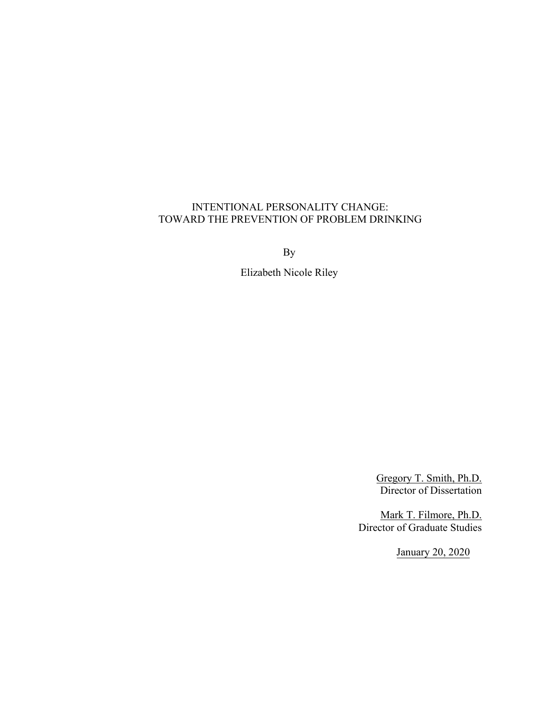# INTENTIONAL PERSONALITY CHANGE: TOWARD THE PREVENTION OF PROBLEM DRINKING

By

Elizabeth Nicole Riley

Gregory T. Smith, Ph.D. Director of Dissertation

Mark T. Filmore, Ph.D. Director of Graduate Studies

January 20, 2020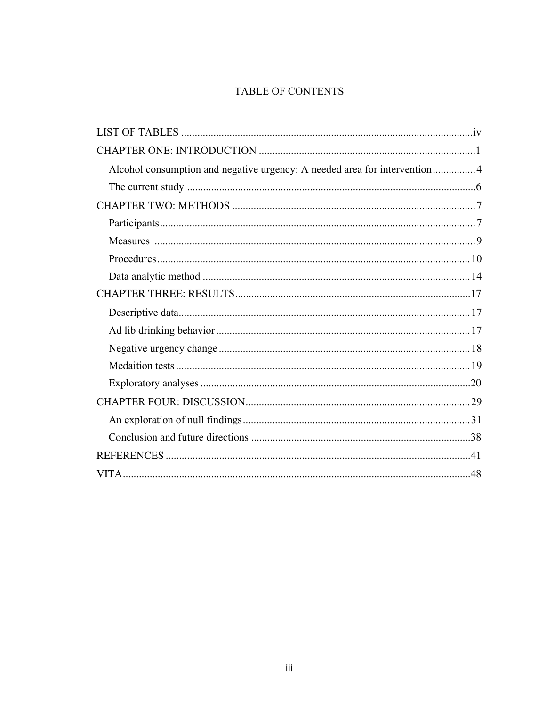# TABLE OF CONTENTS

| Alcohol consumption and negative urgency: A needed area for intervention4 |  |
|---------------------------------------------------------------------------|--|
|                                                                           |  |
|                                                                           |  |
|                                                                           |  |
|                                                                           |  |
|                                                                           |  |
|                                                                           |  |
|                                                                           |  |
|                                                                           |  |
|                                                                           |  |
|                                                                           |  |
|                                                                           |  |
|                                                                           |  |
|                                                                           |  |
|                                                                           |  |
|                                                                           |  |
|                                                                           |  |
|                                                                           |  |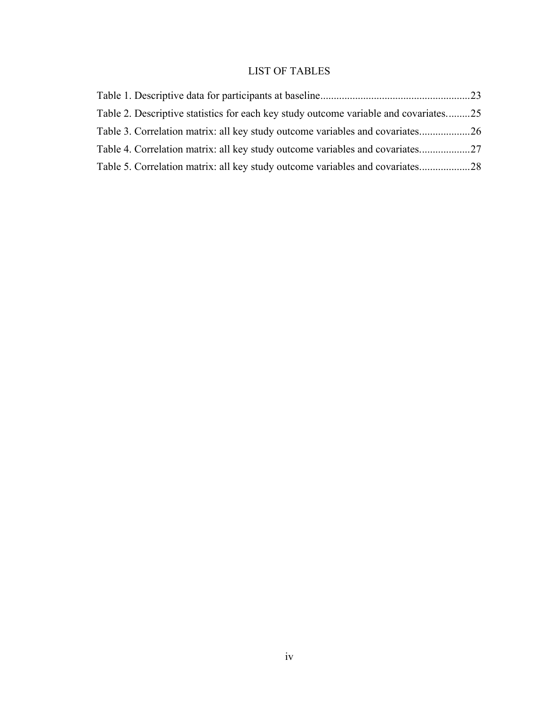# LIST OF TABLES

| Table 2. Descriptive statistics for each key study outcome variable and covariates25 |  |
|--------------------------------------------------------------------------------------|--|
| Table 3. Correlation matrix: all key study outcome variables and covariates          |  |
| Table 4. Correlation matrix: all key study outcome variables and covariates          |  |
| Table 5. Correlation matrix: all key study outcome variables and covariates28        |  |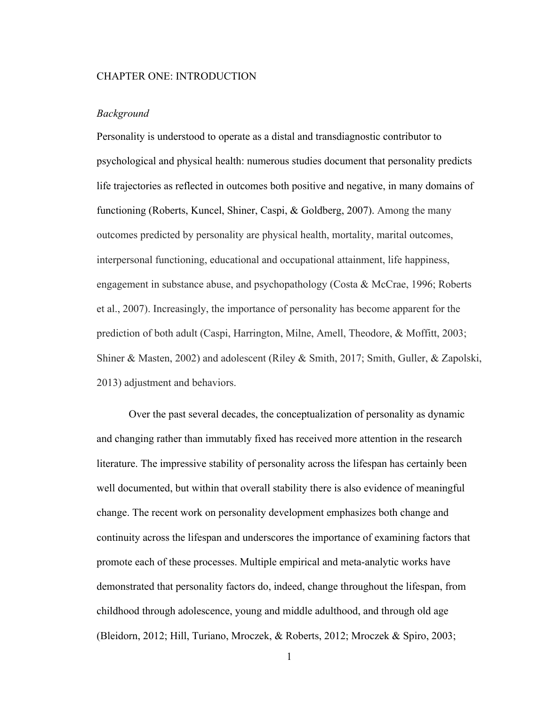#### CHAPTER ONE: INTRODUCTION

#### *Background*

Personality is understood to operate as a distal and transdiagnostic contributor to psychological and physical health: numerous studies document that personality predicts life trajectories as reflected in outcomes both positive and negative, in many domains of functioning (Roberts, Kuncel, Shiner, Caspi, & Goldberg, 2007). Among the many outcomes predicted by personality are physical health, mortality, marital outcomes, interpersonal functioning, educational and occupational attainment, life happiness, engagement in substance abuse, and psychopathology (Costa & McCrae, 1996; Roberts et al., 2007). Increasingly, the importance of personality has become apparent for the prediction of both adult (Caspi, Harrington, Milne, Amell, Theodore, & Moffitt, 2003; Shiner & Masten, 2002) and adolescent (Riley & Smith, 2017; Smith, Guller, & Zapolski, 2013) adjustment and behaviors.

Over the past several decades, the conceptualization of personality as dynamic and changing rather than immutably fixed has received more attention in the research literature. The impressive stability of personality across the lifespan has certainly been well documented, but within that overall stability there is also evidence of meaningful change. The recent work on personality development emphasizes both change and continuity across the lifespan and underscores the importance of examining factors that promote each of these processes. Multiple empirical and meta-analytic works have demonstrated that personality factors do, indeed, change throughout the lifespan, from childhood through adolescence, young and middle adulthood, and through old age (Bleidorn, 2012; Hill, Turiano, Mroczek, & Roberts, 2012; Mroczek & Spiro, 2003;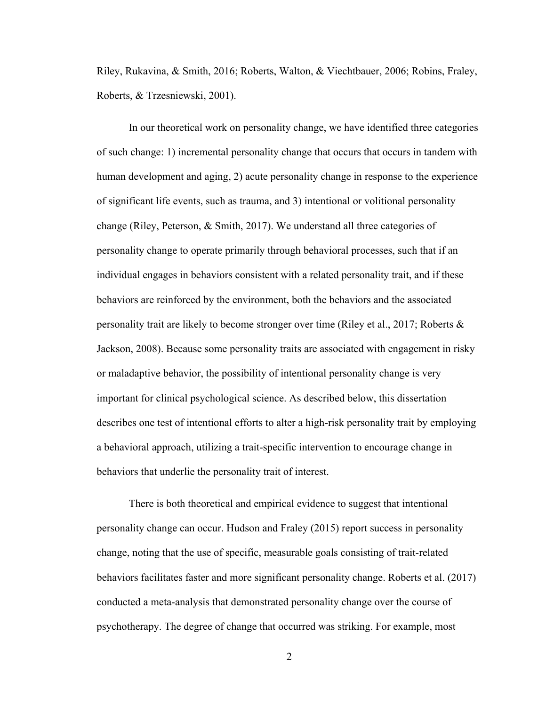Riley, Rukavina, & Smith, 2016; Roberts, Walton, & Viechtbauer, 2006; Robins, Fraley, Roberts, & Trzesniewski, 2001).

In our theoretical work on personality change, we have identified three categories of such change: 1) incremental personality change that occurs that occurs in tandem with human development and aging, 2) acute personality change in response to the experience of significant life events, such as trauma, and 3) intentional or volitional personality change (Riley, Peterson, & Smith, 2017). We understand all three categories of personality change to operate primarily through behavioral processes, such that if an individual engages in behaviors consistent with a related personality trait, and if these behaviors are reinforced by the environment, both the behaviors and the associated personality trait are likely to become stronger over time (Riley et al., 2017; Roberts  $\&$ Jackson, 2008). Because some personality traits are associated with engagement in risky or maladaptive behavior, the possibility of intentional personality change is very important for clinical psychological science. As described below, this dissertation describes one test of intentional efforts to alter a high-risk personality trait by employing a behavioral approach, utilizing a trait-specific intervention to encourage change in behaviors that underlie the personality trait of interest.

There is both theoretical and empirical evidence to suggest that intentional personality change can occur. Hudson and Fraley (2015) report success in personality change, noting that the use of specific, measurable goals consisting of trait-related behaviors facilitates faster and more significant personality change. Roberts et al. (2017) conducted a meta-analysis that demonstrated personality change over the course of psychotherapy. The degree of change that occurred was striking. For example, most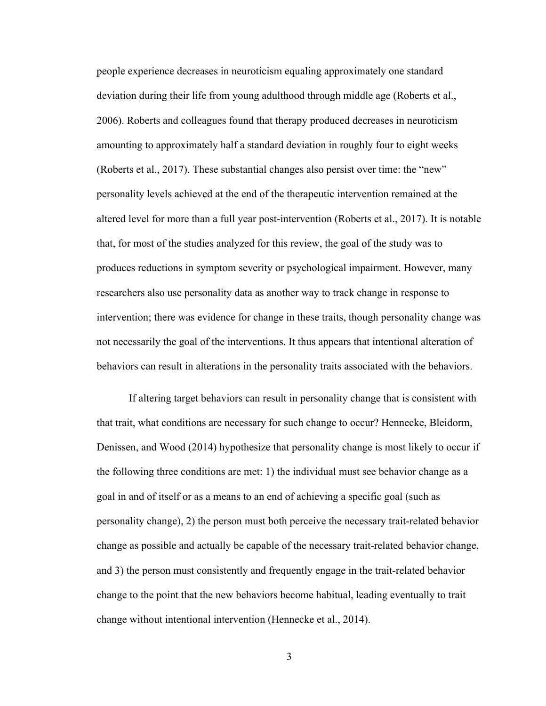people experience decreases in neuroticism equaling approximately one standard deviation during their life from young adulthood through middle age (Roberts et al., 2006). Roberts and colleagues found that therapy produced decreases in neuroticism amounting to approximately half a standard deviation in roughly four to eight weeks (Roberts et al., 2017). These substantial changes also persist over time: the "new" personality levels achieved at the end of the therapeutic intervention remained at the altered level for more than a full year post-intervention (Roberts et al., 2017). It is notable that, for most of the studies analyzed for this review, the goal of the study was to produces reductions in symptom severity or psychological impairment. However, many researchers also use personality data as another way to track change in response to intervention; there was evidence for change in these traits, though personality change was not necessarily the goal of the interventions. It thus appears that intentional alteration of behaviors can result in alterations in the personality traits associated with the behaviors.

If altering target behaviors can result in personality change that is consistent with that trait, what conditions are necessary for such change to occur? Hennecke, Bleidorm, Denissen, and Wood (2014) hypothesize that personality change is most likely to occur if the following three conditions are met: 1) the individual must see behavior change as a goal in and of itself or as a means to an end of achieving a specific goal (such as personality change), 2) the person must both perceive the necessary trait-related behavior change as possible and actually be capable of the necessary trait-related behavior change, and 3) the person must consistently and frequently engage in the trait-related behavior change to the point that the new behaviors become habitual, leading eventually to trait change without intentional intervention (Hennecke et al., 2014).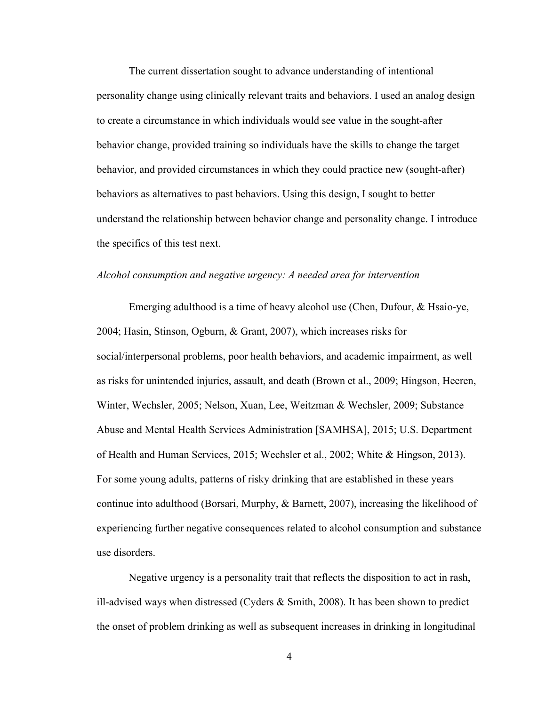The current dissertation sought to advance understanding of intentional personality change using clinically relevant traits and behaviors. I used an analog design to create a circumstance in which individuals would see value in the sought-after behavior change, provided training so individuals have the skills to change the target behavior, and provided circumstances in which they could practice new (sought-after) behaviors as alternatives to past behaviors. Using this design, I sought to better understand the relationship between behavior change and personality change. I introduce the specifics of this test next.

## *Alcohol consumption and negative urgency: A needed area for intervention*

Emerging adulthood is a time of heavy alcohol use (Chen, Dufour, & Hsaio-ye, 2004; Hasin, Stinson, Ogburn, & Grant, 2007), which increases risks for social/interpersonal problems, poor health behaviors, and academic impairment, as well as risks for unintended injuries, assault, and death (Brown et al., 2009; Hingson, Heeren, Winter, Wechsler, 2005; Nelson, Xuan, Lee, Weitzman & Wechsler, 2009; Substance Abuse and Mental Health Services Administration [SAMHSA], 2015; U.S. Department of Health and Human Services, 2015; Wechsler et al., 2002; White & Hingson, 2013). For some young adults, patterns of risky drinking that are established in these years continue into adulthood (Borsari, Murphy, & Barnett, 2007), increasing the likelihood of experiencing further negative consequences related to alcohol consumption and substance use disorders.

Negative urgency is a personality trait that reflects the disposition to act in rash, ill-advised ways when distressed (Cyders & Smith, 2008). It has been shown to predict the onset of problem drinking as well as subsequent increases in drinking in longitudinal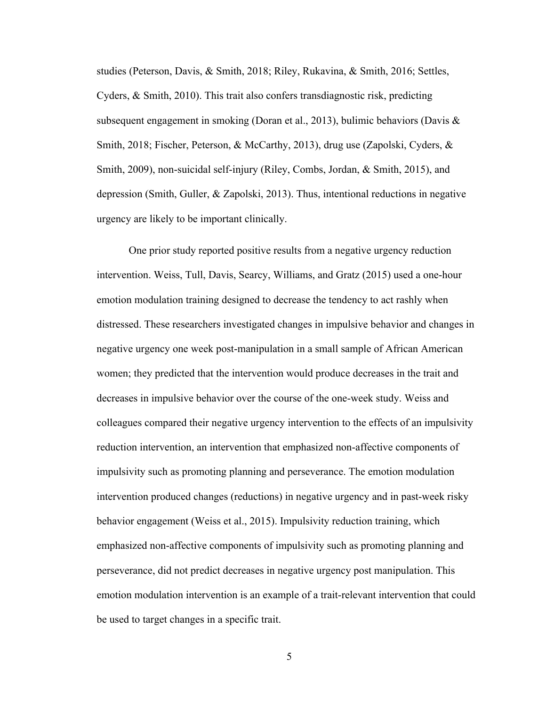studies (Peterson, Davis, & Smith, 2018; Riley, Rukavina, & Smith, 2016; Settles, Cyders, & Smith, 2010). This trait also confers transdiagnostic risk, predicting subsequent engagement in smoking (Doran et al., 2013), bulimic behaviors (Davis  $\&$ Smith, 2018; Fischer, Peterson, & McCarthy, 2013), drug use (Zapolski, Cyders, & Smith, 2009), non-suicidal self-injury (Riley, Combs, Jordan, & Smith, 2015), and depression (Smith, Guller, & Zapolski, 2013). Thus, intentional reductions in negative urgency are likely to be important clinically.

One prior study reported positive results from a negative urgency reduction intervention. Weiss, Tull, Davis, Searcy, Williams, and Gratz (2015) used a one-hour emotion modulation training designed to decrease the tendency to act rashly when distressed. These researchers investigated changes in impulsive behavior and changes in negative urgency one week post-manipulation in a small sample of African American women; they predicted that the intervention would produce decreases in the trait and decreases in impulsive behavior over the course of the one-week study. Weiss and colleagues compared their negative urgency intervention to the effects of an impulsivity reduction intervention, an intervention that emphasized non-affective components of impulsivity such as promoting planning and perseverance. The emotion modulation intervention produced changes (reductions) in negative urgency and in past-week risky behavior engagement (Weiss et al., 2015). Impulsivity reduction training, which emphasized non-affective components of impulsivity such as promoting planning and perseverance, did not predict decreases in negative urgency post manipulation. This emotion modulation intervention is an example of a trait-relevant intervention that could be used to target changes in a specific trait.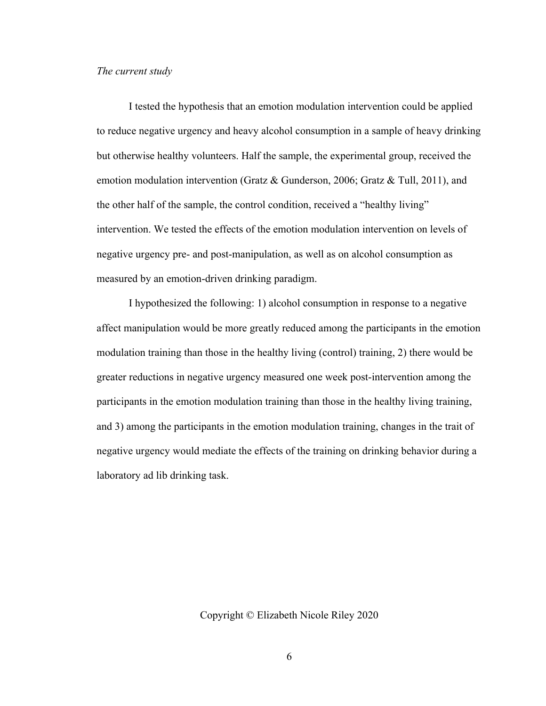#### *The current study*

I tested the hypothesis that an emotion modulation intervention could be applied to reduce negative urgency and heavy alcohol consumption in a sample of heavy drinking but otherwise healthy volunteers. Half the sample, the experimental group, received the emotion modulation intervention (Gratz & Gunderson, 2006; Gratz & Tull, 2011), and the other half of the sample, the control condition, received a "healthy living" intervention. We tested the effects of the emotion modulation intervention on levels of negative urgency pre- and post-manipulation, as well as on alcohol consumption as measured by an emotion-driven drinking paradigm.

I hypothesized the following: 1) alcohol consumption in response to a negative affect manipulation would be more greatly reduced among the participants in the emotion modulation training than those in the healthy living (control) training, 2) there would be greater reductions in negative urgency measured one week post-intervention among the participants in the emotion modulation training than those in the healthy living training, and 3) among the participants in the emotion modulation training, changes in the trait of negative urgency would mediate the effects of the training on drinking behavior during a laboratory ad lib drinking task.

Copyright © Elizabeth Nicole Riley 2020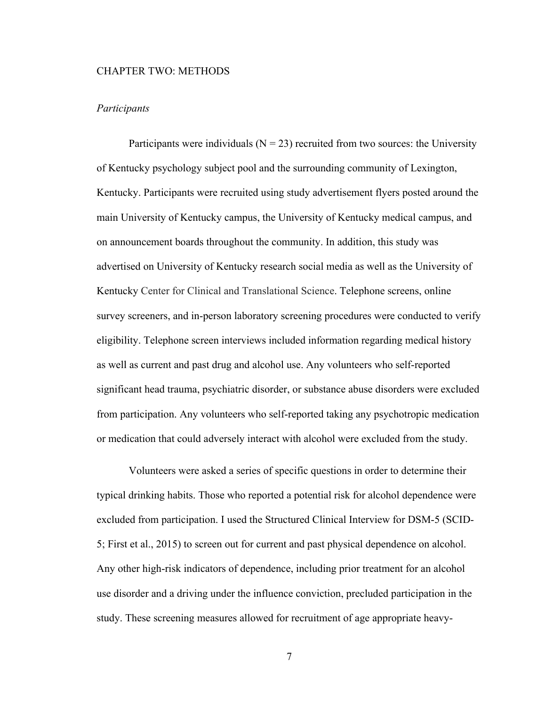#### CHAPTER TWO: METHODS

## *Participants*

Participants were individuals ( $N = 23$ ) recruited from two sources: the University of Kentucky psychology subject pool and the surrounding community of Lexington, Kentucky. Participants were recruited using study advertisement flyers posted around the main University of Kentucky campus, the University of Kentucky medical campus, and on announcement boards throughout the community. In addition, this study was advertised on University of Kentucky research social media as well as the University of Kentucky Center for Clinical and Translational Science. Telephone screens, online survey screeners, and in-person laboratory screening procedures were conducted to verify eligibility. Telephone screen interviews included information regarding medical history as well as current and past drug and alcohol use. Any volunteers who self-reported significant head trauma, psychiatric disorder, or substance abuse disorders were excluded from participation. Any volunteers who self-reported taking any psychotropic medication or medication that could adversely interact with alcohol were excluded from the study.

Volunteers were asked a series of specific questions in order to determine their typical drinking habits. Those who reported a potential risk for alcohol dependence were excluded from participation. I used the Structured Clinical Interview for DSM-5 (SCID-5; First et al., 2015) to screen out for current and past physical dependence on alcohol. Any other high-risk indicators of dependence, including prior treatment for an alcohol use disorder and a driving under the influence conviction, precluded participation in the study. These screening measures allowed for recruitment of age appropriate heavy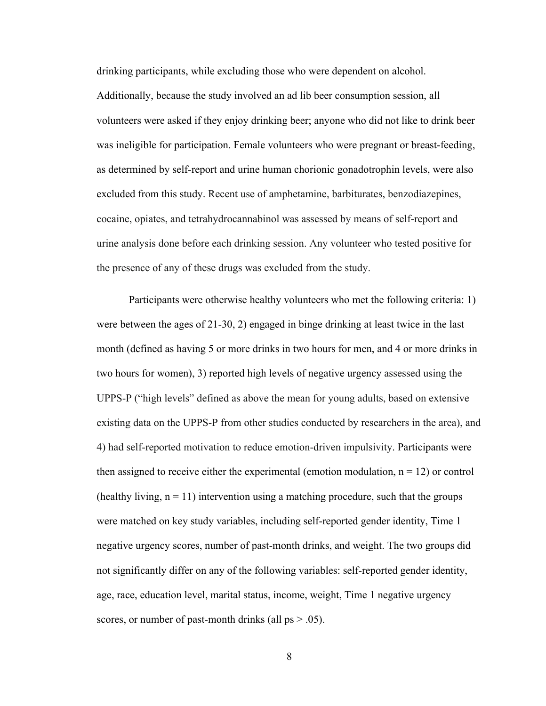drinking participants, while excluding those who were dependent on alcohol. Additionally, because the study involved an ad lib beer consumption session, all volunteers were asked if they enjoy drinking beer; anyone who did not like to drink beer was ineligible for participation. Female volunteers who were pregnant or breast-feeding, as determined by self-report and urine human chorionic gonadotrophin levels, were also excluded from this study. Recent use of amphetamine, barbiturates, benzodiazepines, cocaine, opiates, and tetrahydrocannabinol was assessed by means of self-report and urine analysis done before each drinking session. Any volunteer who tested positive for the presence of any of these drugs was excluded from the study.

Participants were otherwise healthy volunteers who met the following criteria: 1) were between the ages of 21-30, 2) engaged in binge drinking at least twice in the last month (defined as having 5 or more drinks in two hours for men, and 4 or more drinks in two hours for women), 3) reported high levels of negative urgency assessed using the UPPS-P ("high levels" defined as above the mean for young adults, based on extensive existing data on the UPPS-P from other studies conducted by researchers in the area), and 4) had self-reported motivation to reduce emotion-driven impulsivity. Participants were then assigned to receive either the experimental (emotion modulation,  $n = 12$ ) or control (healthy living,  $n = 11$ ) intervention using a matching procedure, such that the groups were matched on key study variables, including self-reported gender identity, Time 1 negative urgency scores, number of past-month drinks, and weight. The two groups did not significantly differ on any of the following variables: self-reported gender identity, age, race, education level, marital status, income, weight, Time 1 negative urgency scores, or number of past-month drinks (all  $ps > .05$ ).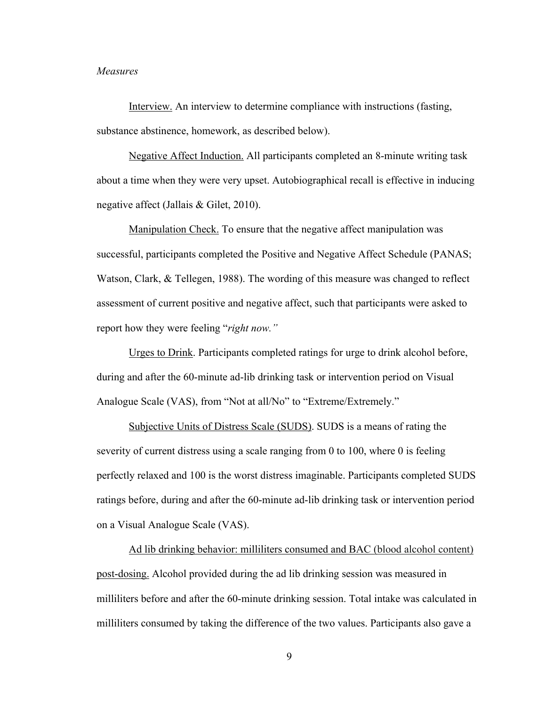#### *Measures*

Interview. An interview to determine compliance with instructions (fasting, substance abstinence, homework, as described below).

Negative Affect Induction. All participants completed an 8-minute writing task about a time when they were very upset. Autobiographical recall is effective in inducing negative affect (Jallais & Gilet, 2010).

Manipulation Check. To ensure that the negative affect manipulation was successful, participants completed the Positive and Negative Affect Schedule (PANAS; Watson, Clark, & Tellegen, 1988). The wording of this measure was changed to reflect assessment of current positive and negative affect, such that participants were asked to report how they were feeling "*right now."*

Urges to Drink. Participants completed ratings for urge to drink alcohol before, during and after the 60-minute ad-lib drinking task or intervention period on Visual Analogue Scale (VAS), from "Not at all/No" to "Extreme/Extremely."

Subjective Units of Distress Scale (SUDS). SUDS is a means of rating the severity of current distress using a scale ranging from 0 to 100, where 0 is feeling perfectly relaxed and 100 is the worst distress imaginable. Participants completed SUDS ratings before, during and after the 60-minute ad-lib drinking task or intervention period on a Visual Analogue Scale (VAS).

Ad lib drinking behavior: milliliters consumed and BAC (blood alcohol content) post-dosing. Alcohol provided during the ad lib drinking session was measured in milliliters before and after the 60-minute drinking session. Total intake was calculated in milliliters consumed by taking the difference of the two values. Participants also gave a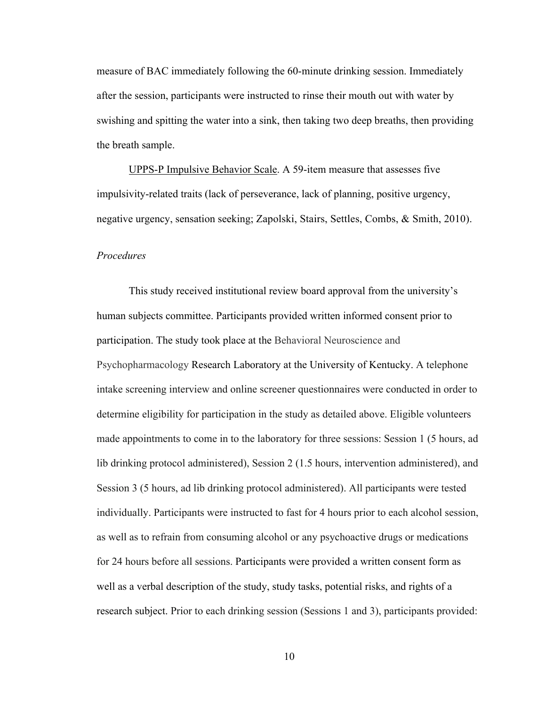measure of BAC immediately following the 60-minute drinking session. Immediately after the session, participants were instructed to rinse their mouth out with water by swishing and spitting the water into a sink, then taking two deep breaths, then providing the breath sample.

UPPS-P Impulsive Behavior Scale. A 59-item measure that assesses five impulsivity-related traits (lack of perseverance, lack of planning, positive urgency, negative urgency, sensation seeking; Zapolski, Stairs, Settles, Combs, & Smith, 2010).

#### *Procedures*

This study received institutional review board approval from the university's human subjects committee. Participants provided written informed consent prior to participation. The study took place at the Behavioral Neuroscience and Psychopharmacology Research Laboratory at the University of Kentucky. A telephone intake screening interview and online screener questionnaires were conducted in order to determine eligibility for participation in the study as detailed above. Eligible volunteers made appointments to come in to the laboratory for three sessions: Session 1 (5 hours, ad lib drinking protocol administered), Session 2 (1.5 hours, intervention administered), and Session 3 (5 hours, ad lib drinking protocol administered). All participants were tested individually. Participants were instructed to fast for 4 hours prior to each alcohol session, as well as to refrain from consuming alcohol or any psychoactive drugs or medications for 24 hours before all sessions. Participants were provided a written consent form as well as a verbal description of the study, study tasks, potential risks, and rights of a research subject. Prior to each drinking session (Sessions 1 and 3), participants provided: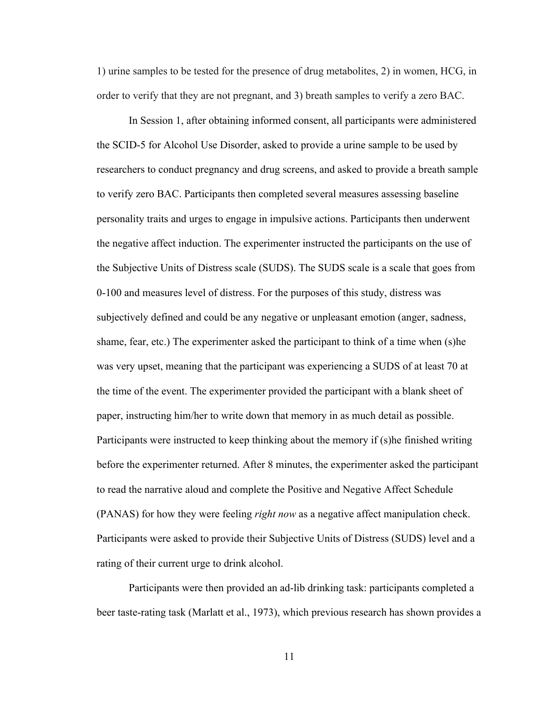1) urine samples to be tested for the presence of drug metabolites, 2) in women, HCG, in order to verify that they are not pregnant, and 3) breath samples to verify a zero BAC.

In Session 1, after obtaining informed consent, all participants were administered the SCID-5 for Alcohol Use Disorder, asked to provide a urine sample to be used by researchers to conduct pregnancy and drug screens, and asked to provide a breath sample to verify zero BAC. Participants then completed several measures assessing baseline personality traits and urges to engage in impulsive actions. Participants then underwent the negative affect induction. The experimenter instructed the participants on the use of the Subjective Units of Distress scale (SUDS). The SUDS scale is a scale that goes from 0-100 and measures level of distress. For the purposes of this study, distress was subjectively defined and could be any negative or unpleasant emotion (anger, sadness, shame, fear, etc.) The experimenter asked the participant to think of a time when (s)he was very upset, meaning that the participant was experiencing a SUDS of at least 70 at the time of the event. The experimenter provided the participant with a blank sheet of paper, instructing him/her to write down that memory in as much detail as possible. Participants were instructed to keep thinking about the memory if (s)he finished writing before the experimenter returned. After 8 minutes, the experimenter asked the participant to read the narrative aloud and complete the Positive and Negative Affect Schedule (PANAS) for how they were feeling *right now* as a negative affect manipulation check. Participants were asked to provide their Subjective Units of Distress (SUDS) level and a rating of their current urge to drink alcohol.

Participants were then provided an ad-lib drinking task: participants completed a beer taste-rating task (Marlatt et al., 1973), which previous research has shown provides a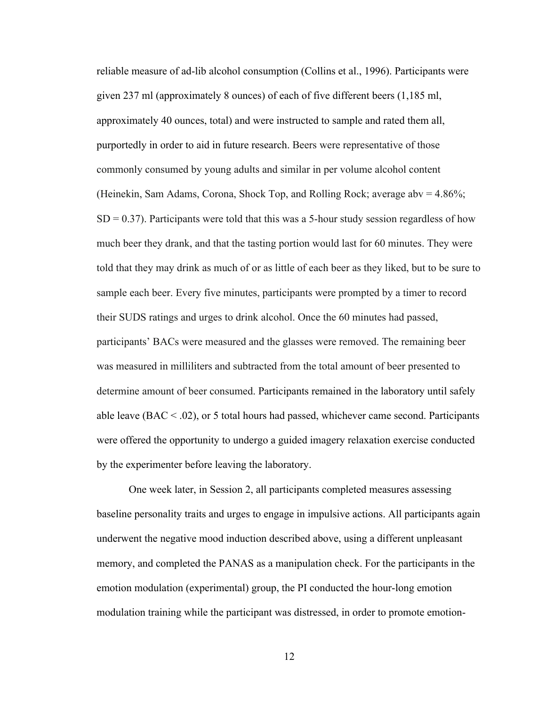reliable measure of ad-lib alcohol consumption (Collins et al., 1996). Participants were given 237 ml (approximately 8 ounces) of each of five different beers (1,185 ml, approximately 40 ounces, total) and were instructed to sample and rated them all, purportedly in order to aid in future research. Beers were representative of those commonly consumed by young adults and similar in per volume alcohol content (Heinekin, Sam Adams, Corona, Shock Top, and Rolling Rock; average abv = 4.86%;  $SD = 0.37$ ). Participants were told that this was a 5-hour study session regardless of how much beer they drank, and that the tasting portion would last for 60 minutes. They were told that they may drink as much of or as little of each beer as they liked, but to be sure to sample each beer. Every five minutes, participants were prompted by a timer to record their SUDS ratings and urges to drink alcohol. Once the 60 minutes had passed, participants' BACs were measured and the glasses were removed. The remaining beer was measured in milliliters and subtracted from the total amount of beer presented to determine amount of beer consumed. Participants remained in the laboratory until safely able leave  $(BAC < .02)$ , or 5 total hours had passed, whichever came second. Participants were offered the opportunity to undergo a guided imagery relaxation exercise conducted by the experimenter before leaving the laboratory.

One week later, in Session 2, all participants completed measures assessing baseline personality traits and urges to engage in impulsive actions. All participants again underwent the negative mood induction described above, using a different unpleasant memory, and completed the PANAS as a manipulation check. For the participants in the emotion modulation (experimental) group, the PI conducted the hour-long emotion modulation training while the participant was distressed, in order to promote emotion-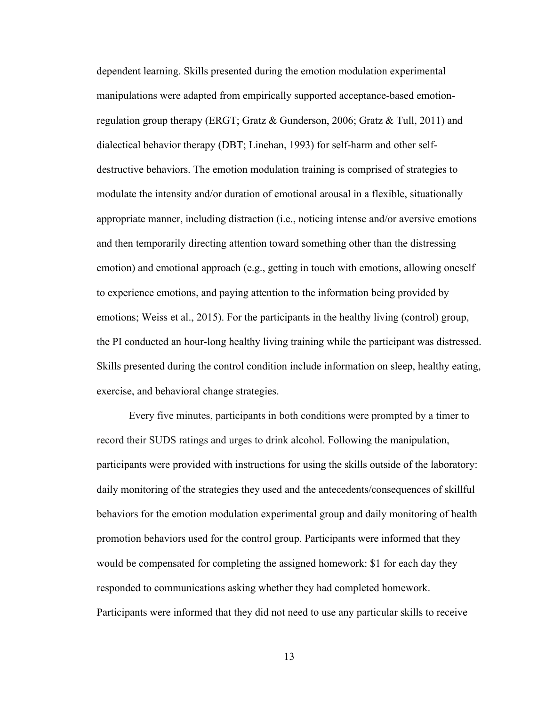dependent learning. Skills presented during the emotion modulation experimental manipulations were adapted from empirically supported acceptance-based emotionregulation group therapy (ERGT; Gratz & Gunderson, 2006; Gratz & Tull, 2011) and dialectical behavior therapy (DBT; Linehan, 1993) for self-harm and other selfdestructive behaviors. The emotion modulation training is comprised of strategies to modulate the intensity and/or duration of emotional arousal in a flexible, situationally appropriate manner, including distraction (i.e., noticing intense and/or aversive emotions and then temporarily directing attention toward something other than the distressing emotion) and emotional approach (e.g., getting in touch with emotions, allowing oneself to experience emotions, and paying attention to the information being provided by emotions; Weiss et al., 2015). For the participants in the healthy living (control) group, the PI conducted an hour-long healthy living training while the participant was distressed. Skills presented during the control condition include information on sleep, healthy eating, exercise, and behavioral change strategies.

Every five minutes, participants in both conditions were prompted by a timer to record their SUDS ratings and urges to drink alcohol. Following the manipulation, participants were provided with instructions for using the skills outside of the laboratory: daily monitoring of the strategies they used and the antecedents/consequences of skillful behaviors for the emotion modulation experimental group and daily monitoring of health promotion behaviors used for the control group. Participants were informed that they would be compensated for completing the assigned homework: \$1 for each day they responded to communications asking whether they had completed homework. Participants were informed that they did not need to use any particular skills to receive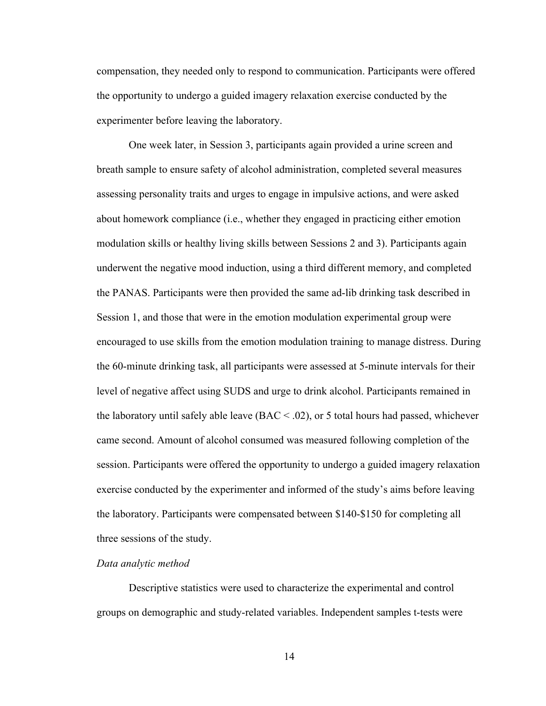compensation, they needed only to respond to communication. Participants were offered the opportunity to undergo a guided imagery relaxation exercise conducted by the experimenter before leaving the laboratory.

One week later, in Session 3, participants again provided a urine screen and breath sample to ensure safety of alcohol administration, completed several measures assessing personality traits and urges to engage in impulsive actions, and were asked about homework compliance (i.e., whether they engaged in practicing either emotion modulation skills or healthy living skills between Sessions 2 and 3). Participants again underwent the negative mood induction, using a third different memory, and completed the PANAS. Participants were then provided the same ad-lib drinking task described in Session 1, and those that were in the emotion modulation experimental group were encouraged to use skills from the emotion modulation training to manage distress. During the 60-minute drinking task, all participants were assessed at 5-minute intervals for their level of negative affect using SUDS and urge to drink alcohol. Participants remained in the laboratory until safely able leave  $(BAC < .02)$ , or 5 total hours had passed, whichever came second. Amount of alcohol consumed was measured following completion of the session. Participants were offered the opportunity to undergo a guided imagery relaxation exercise conducted by the experimenter and informed of the study's aims before leaving the laboratory. Participants were compensated between \$140-\$150 for completing all three sessions of the study.

# *Data analytic method*

Descriptive statistics were used to characterize the experimental and control groups on demographic and study-related variables. Independent samples t-tests were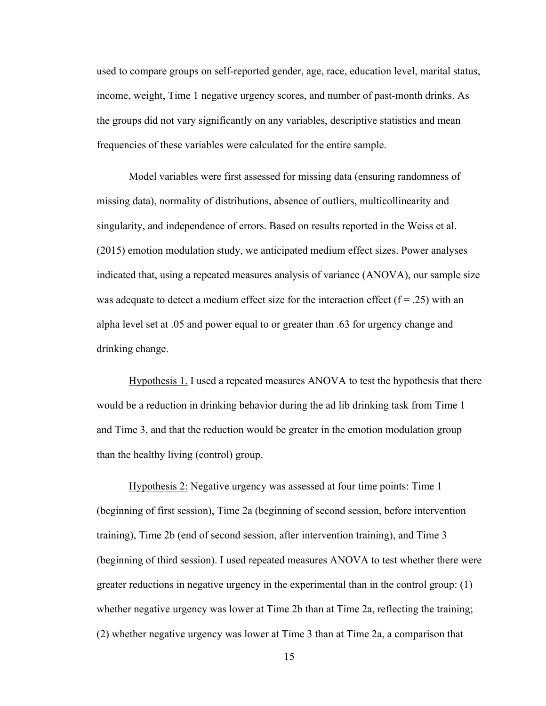used to compare groups on self-reported gender, age, race, education level, marital status, income, weight, Time 1 negative urgency scores, and number of past-month drinks. As the groups did not vary significantly on any variables, descriptive statistics and mean frequencies of these variables were calculated for the entire sample.

Model variables were first assessed for missing data (ensuring randomness of missing data), normality of distributions, absence of outliers, multicollinearity and singularity, and independence of errors. Based on results reported in the Weiss et al. (2015) emotion modulation study, we anticipated medium effect sizes. Power analyses indicated that, using a repeated measures analysis of variance (ANOVA), our sample size was adequate to detect a medium effect size for the interaction effect  $(f = .25)$  with an alpha level set at .05 and power equal to or greater than .63 for urgency change and drinking change.

Hypothesis 1. I used a repeated measures ANOVA to test the hypothesis that there would be a reduction in drinking behavior during the ad lib drinking task from Time 1 and Time 3, and that the reduction would be greater in the emotion modulation group than the healthy living (control) group.

Hypothesis 2: Negative urgency was assessed at four time points: Time 1 (beginning of first session), Time 2a (beginning of second session, before intervention training), Time 2b (end of second session, after intervention training), and Time 3 (beginning of third session). I used repeated measures ANOVA to test whether there were greater reductions in negative urgency in the experimental than in the control group: (1) whether negative urgency was lower at Time 2b than at Time 2a, reflecting the training; (2) whether negative urgency was lower at Time 3 than at Time 2a, a comparison that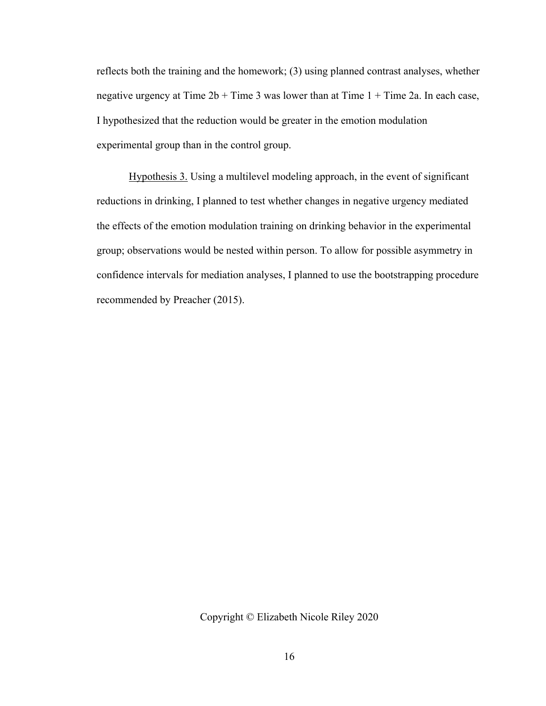reflects both the training and the homework; (3) using planned contrast analyses, whether negative urgency at Time  $2b + Time$  3 was lower than at Time  $1 + Time$  2a. In each case, I hypothesized that the reduction would be greater in the emotion modulation experimental group than in the control group.

Hypothesis 3. Using a multilevel modeling approach, in the event of significant reductions in drinking, I planned to test whether changes in negative urgency mediated the effects of the emotion modulation training on drinking behavior in the experimental group; observations would be nested within person. To allow for possible asymmetry in confidence intervals for mediation analyses, I planned to use the bootstrapping procedure recommended by Preacher (2015).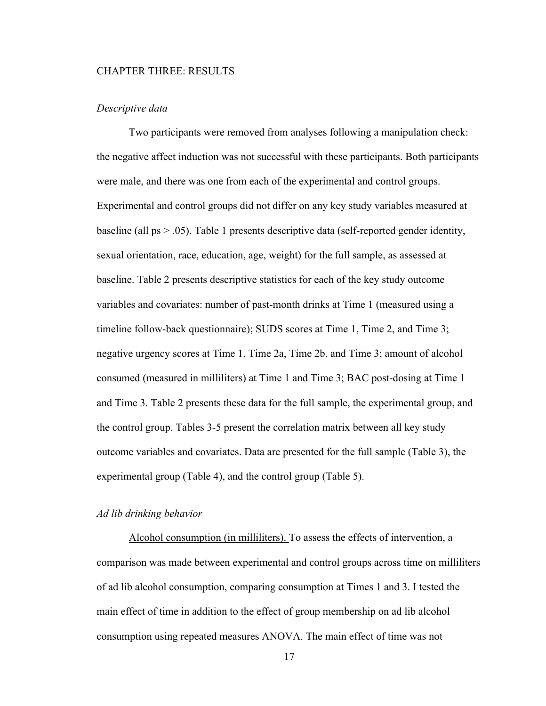#### CHAPTER THREE: RESULTS

## *Descriptive data*

Two participants were removed from analyses following a manipulation check: the negative affect induction was not successful with these participants. Both participants were male, and there was one from each of the experimental and control groups. Experimental and control groups did not differ on any key study variables measured at baseline (all ps > .05). Table 1 presents descriptive data (self-reported gender identity, sexual orientation, race, education, age, weight) for the full sample, as assessed at baseline. Table 2 presents descriptive statistics for each of the key study outcome variables and covariates: number of past-month drinks at Time 1 (measured using a timeline follow-back questionnaire); SUDS scores at Time 1, Time 2, and Time 3; negative urgency scores at Time 1, Time 2a, Time 2b, and Time 3; amount of alcohol consumed (measured in milliliters) at Time 1 and Time 3; BAC post-dosing at Time 1 and Time 3. Table 2 presents these data for the full sample, the experimental group, and the control group. Tables 3-5 present the correlation matrix between all key study outcome variables and covariates. Data are presented for the full sample (Table 3), the experimental group (Table 4), and the control group (Table 5).

#### *Ad lib drinking behavior*

Alcohol consumption (in milliliters). To assess the effects of intervention, a comparison was made between experimental and control groups across time on milliliters of ad lib alcohol consumption, comparing consumption at Times 1 and 3. I tested the main effect of time in addition to the effect of group membership on ad lib alcohol consumption using repeated measures ANOVA. The main effect of time was not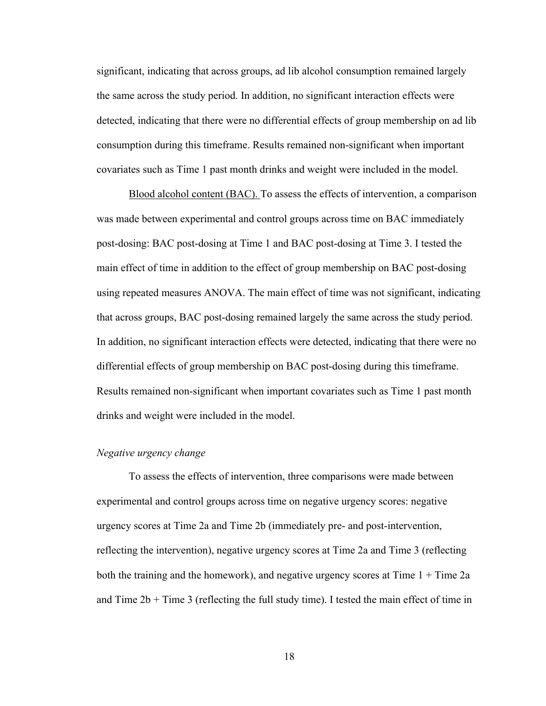significant, indicating that across groups, ad lib alcohol consumption remained largely the same across the study period. In addition, no significant interaction effects were detected, indicating that there were no differential effects of group membership on ad lib consumption during this timeframe. Results remained non-significant when important covariates such as Time 1 past month drinks and weight were included in the model.

Blood alcohol content (BAC). To assess the effects of intervention, a comparison was made between experimental and control groups across time on BAC immediately post-dosing: BAC post-dosing at Time 1 and BAC post-dosing at Time 3. I tested the main effect of time in addition to the effect of group membership on BAC post-dosing using repeated measures ANOVA. The main effect of time was not significant, indicating that across groups, BAC post-dosing remained largely the same across the study period. In addition, no significant interaction effects were detected, indicating that there were no differential effects of group membership on BAC post-dosing during this timeframe. Results remained non-significant when important covariates such as Time 1 past month drinks and weight were included in the model.

# *Negative urgency change*

To assess the effects of intervention, three comparisons were made between experimental and control groups across time on negative urgency scores: negative urgency scores at Time 2a and Time 2b (immediately pre- and post-intervention, reflecting the intervention), negative urgency scores at Time 2a and Time 3 (reflecting both the training and the homework), and negative urgency scores at Time  $1 +$ Time  $2a$ and Time  $2b +$  Time 3 (reflecting the full study time). I tested the main effect of time in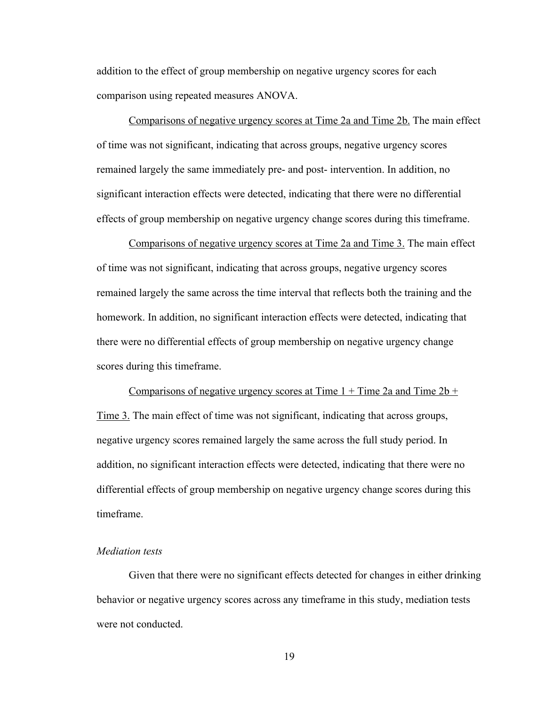addition to the effect of group membership on negative urgency scores for each comparison using repeated measures ANOVA.

Comparisons of negative urgency scores at Time 2a and Time 2b. The main effect of time was not significant, indicating that across groups, negative urgency scores remained largely the same immediately pre- and post- intervention. In addition, no significant interaction effects were detected, indicating that there were no differential effects of group membership on negative urgency change scores during this timeframe.

Comparisons of negative urgency scores at Time 2a and Time 3. The main effect of time was not significant, indicating that across groups, negative urgency scores remained largely the same across the time interval that reflects both the training and the homework. In addition, no significant interaction effects were detected, indicating that there were no differential effects of group membership on negative urgency change scores during this timeframe.

Comparisons of negative urgency scores at Time  $1 +$  Time  $2a$  and Time  $2b +$ Time 3. The main effect of time was not significant, indicating that across groups, negative urgency scores remained largely the same across the full study period. In addition, no significant interaction effects were detected, indicating that there were no differential effects of group membership on negative urgency change scores during this timeframe.

# *Mediation tests*

Given that there were no significant effects detected for changes in either drinking behavior or negative urgency scores across any timeframe in this study, mediation tests were not conducted.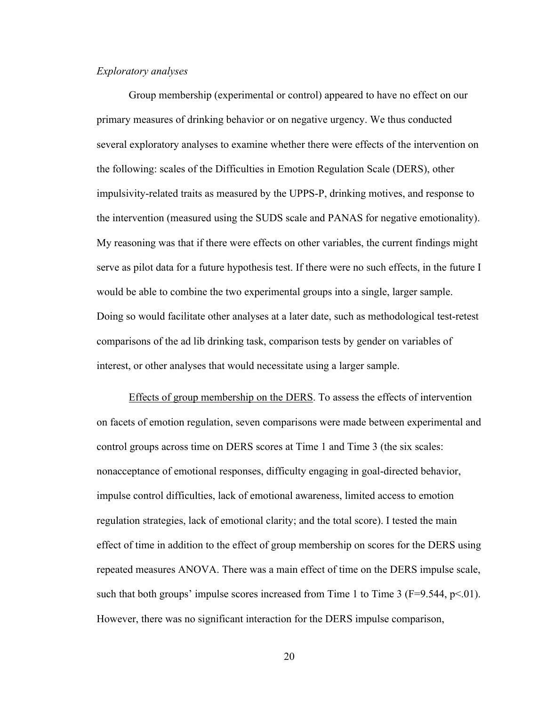# *Exploratory analyses*

Group membership (experimental or control) appeared to have no effect on our primary measures of drinking behavior or on negative urgency. We thus conducted several exploratory analyses to examine whether there were effects of the intervention on the following: scales of the Difficulties in Emotion Regulation Scale (DERS), other impulsivity-related traits as measured by the UPPS-P, drinking motives, and response to the intervention (measured using the SUDS scale and PANAS for negative emotionality). My reasoning was that if there were effects on other variables, the current findings might serve as pilot data for a future hypothesis test. If there were no such effects, in the future I would be able to combine the two experimental groups into a single, larger sample. Doing so would facilitate other analyses at a later date, such as methodological test-retest comparisons of the ad lib drinking task, comparison tests by gender on variables of interest, or other analyses that would necessitate using a larger sample.

Effects of group membership on the DERS. To assess the effects of intervention on facets of emotion regulation, seven comparisons were made between experimental and control groups across time on DERS scores at Time 1 and Time 3 (the six scales: nonacceptance of emotional responses, difficulty engaging in goal-directed behavior, impulse control difficulties, lack of emotional awareness, limited access to emotion regulation strategies, lack of emotional clarity; and the total score). I tested the main effect of time in addition to the effect of group membership on scores for the DERS using repeated measures ANOVA. There was a main effect of time on the DERS impulse scale, such that both groups' impulse scores increased from Time 1 to Time 3 ( $F=9.544$ ,  $p<.01$ ). However, there was no significant interaction for the DERS impulse comparison,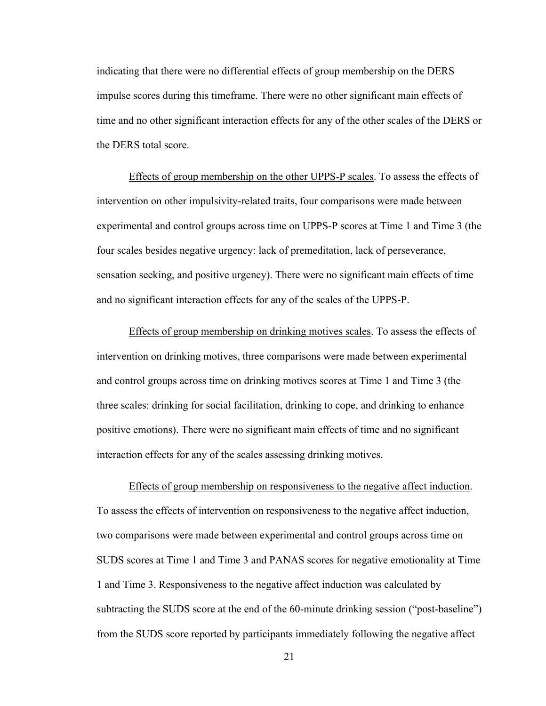indicating that there were no differential effects of group membership on the DERS impulse scores during this timeframe. There were no other significant main effects of time and no other significant interaction effects for any of the other scales of the DERS or the DERS total score.

Effects of group membership on the other UPPS-P scales. To assess the effects of intervention on other impulsivity-related traits, four comparisons were made between experimental and control groups across time on UPPS-P scores at Time 1 and Time 3 (the four scales besides negative urgency: lack of premeditation, lack of perseverance, sensation seeking, and positive urgency). There were no significant main effects of time and no significant interaction effects for any of the scales of the UPPS-P.

Effects of group membership on drinking motives scales. To assess the effects of intervention on drinking motives, three comparisons were made between experimental and control groups across time on drinking motives scores at Time 1 and Time 3 (the three scales: drinking for social facilitation, drinking to cope, and drinking to enhance positive emotions). There were no significant main effects of time and no significant interaction effects for any of the scales assessing drinking motives.

Effects of group membership on responsiveness to the negative affect induction. To assess the effects of intervention on responsiveness to the negative affect induction, two comparisons were made between experimental and control groups across time on SUDS scores at Time 1 and Time 3 and PANAS scores for negative emotionality at Time 1 and Time 3. Responsiveness to the negative affect induction was calculated by subtracting the SUDS score at the end of the 60-minute drinking session ("post-baseline") from the SUDS score reported by participants immediately following the negative affect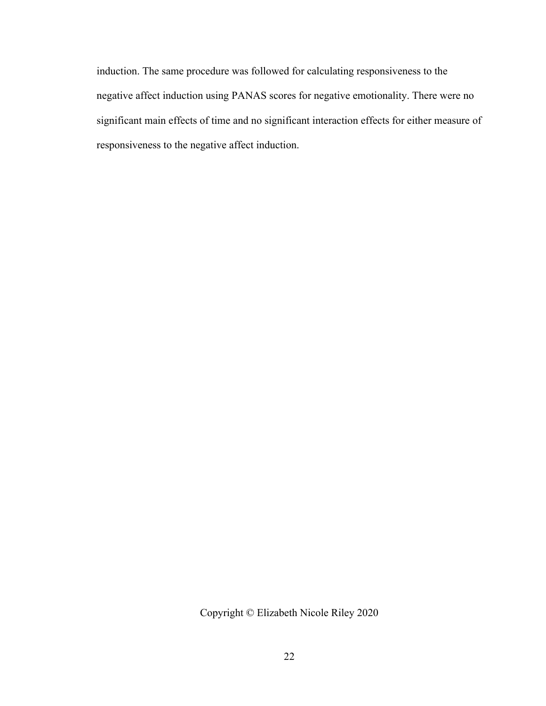induction. The same procedure was followed for calculating responsiveness to the negative affect induction using PANAS scores for negative emotionality. There were no significant main effects of time and no significant interaction effects for either measure of responsiveness to the negative affect induction.

Copyright © Elizabeth Nicole Riley 2020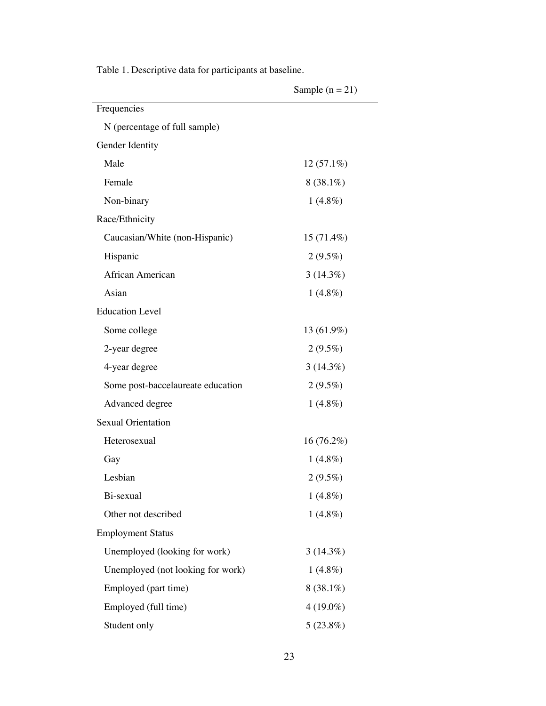|                                   | Sample $(n = 21)$ |
|-----------------------------------|-------------------|
| Frequencies                       |                   |
| N (percentage of full sample)     |                   |
| Gender Identity                   |                   |
| Male                              | $12(57.1\%)$      |
| Female                            | $8(38.1\%)$       |
| Non-binary                        | $1(4.8\%)$        |
| Race/Ethnicity                    |                   |
| Caucasian/White (non-Hispanic)    | $15(71.4\%)$      |
| Hispanic                          | $2(9.5\%)$        |
| African American                  | $3(14.3\%)$       |
| Asian                             | $1(4.8\%)$        |
| <b>Education Level</b>            |                   |
| Some college                      | 13 (61.9%)        |
| 2-year degree                     | $2(9.5\%)$        |
| 4-year degree                     | $3(14.3\%)$       |
| Some post-baccelaureate education | $2(9.5\%)$        |
| Advanced degree                   | $1(4.8\%)$        |
| <b>Sexual Orientation</b>         |                   |
| Heterosexual                      | 16(76.2%)         |
| Gay                               | $1(4.8\%)$        |
| Lesbian                           | $2(9.5\%)$        |
| Bi-sexual                         | $1(4.8\%)$        |
| Other not described               | $1(4.8\%)$        |
| <b>Employment Status</b>          |                   |
| Unemployed (looking for work)     | $3(14.3\%)$       |
| Unemployed (not looking for work) | $1(4.8\%)$        |
| Employed (part time)              | $8(38.1\%)$       |
| Employed (full time)              | $4(19.0\%)$       |
| Student only                      | 5(23.8%)          |

Table 1. Descriptive data for participants at baseline.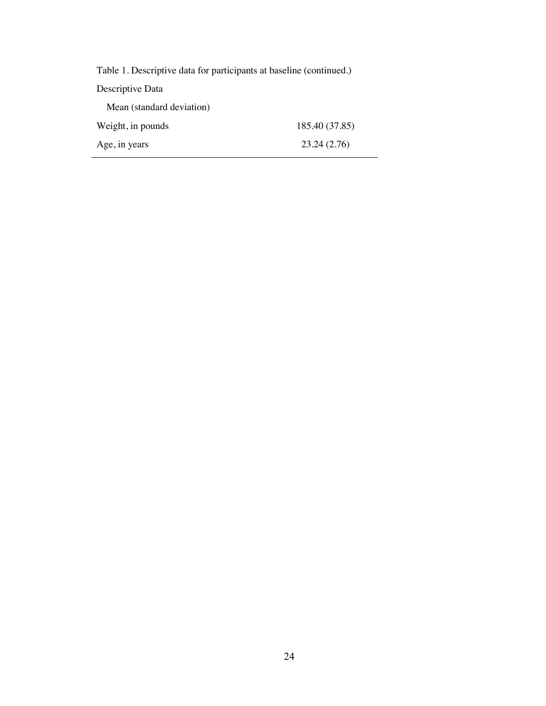| Table 1. Descriptive data for participants at baseline (continued.) |                |
|---------------------------------------------------------------------|----------------|
| Descriptive Data                                                    |                |
| Mean (standard deviation)                                           |                |
| Weight, in pounds                                                   | 185.40 (37.85) |
| Age, in years                                                       | 23.24 (2.76)   |
|                                                                     |                |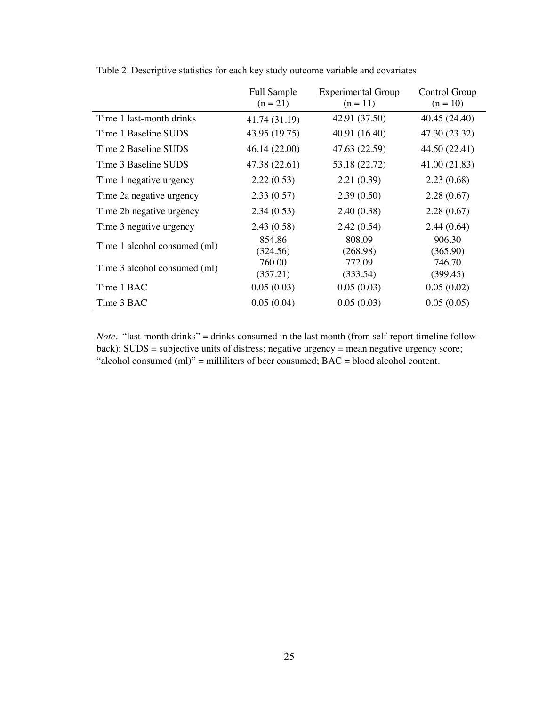|                              | Full Sample<br>$(n = 21)$ | <b>Experimental Group</b><br>$(n = 11)$ | Control Group<br>$(n = 10)$ |
|------------------------------|---------------------------|-----------------------------------------|-----------------------------|
| Time 1 last-month drinks     | 41.74 (31.19)             | 42.91 (37.50)                           | 40.45 (24.40)               |
| Time 1 Baseline SUDS         | 43.95 (19.75)             | 40.91 (16.40)                           | 47.30 (23.32)               |
| Time 2 Baseline SUDS         | 46.14 (22.00)             | 47.63 (22.59)                           | 44.50 (22.41)               |
| Time 3 Baseline SUDS         | 47.38 (22.61)             | 53.18 (22.72)                           | 41.00 (21.83)               |
| Time 1 negative urgency      | 2.22(0.53)                | 2.21(0.39)                              | 2.23(0.68)                  |
| Time 2a negative urgency     | 2.33(0.57)                | 2.39(0.50)                              | 2.28(0.67)                  |
| Time 2b negative urgency     | 2.34(0.53)                | 2.40(0.38)                              | 2.28(0.67)                  |
| Time 3 negative urgency      | 2.43(0.58)                | 2.42(0.54)                              | 2.44(0.64)                  |
| Time 1 alcohol consumed (ml) | 854.86<br>(324.56)        | 808.09<br>(268.98)                      | 906.30<br>(365.90)          |
| Time 3 alcohol consumed (ml) | 760.00<br>(357.21)        | 772.09<br>(333.54)                      | 746.70<br>(399.45)          |
| Time 1 BAC                   | 0.05(0.03)                | 0.05(0.03)                              | 0.05(0.02)                  |
| Time 3 BAC                   | 0.05(0.04)                | 0.05(0.03)                              | 0.05(0.05)                  |

Table 2. Descriptive statistics for each key study outcome variable and covariates

*Note*. "last-month drinks" = drinks consumed in the last month (from self-report timeline followback); SUDS = subjective units of distress; negative urgency = mean negative urgency score; "alcohol consumed  $(m)$ " = milliliters of beer consumed;  $BAC =$  blood alcohol content.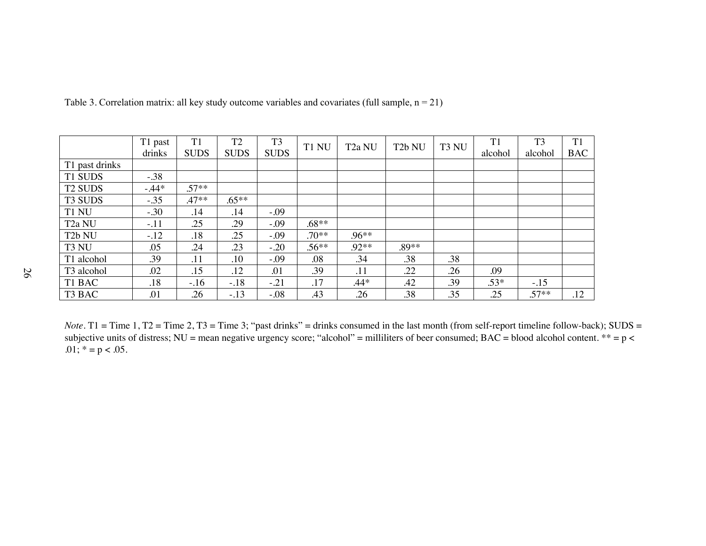|                     | T1 past | T <sub>1</sub> | T <sub>2</sub> | T <sub>3</sub> | T1 NU   | T <sub>2</sub> a NU | T <sub>2</sub> b NU | T3 NU | T1      | T <sub>3</sub> | T1         |
|---------------------|---------|----------------|----------------|----------------|---------|---------------------|---------------------|-------|---------|----------------|------------|
|                     | drinks  | <b>SUDS</b>    | <b>SUDS</b>    | <b>SUDS</b>    |         |                     |                     |       | alcohol | alcohol        | <b>BAC</b> |
| T1 past drinks      |         |                |                |                |         |                     |                     |       |         |                |            |
| T1 SUDS             | $-.38$  |                |                |                |         |                     |                     |       |         |                |            |
| <b>T2 SUDS</b>      | $-.44*$ | $.57**$        |                |                |         |                     |                     |       |         |                |            |
| T <sub>3</sub> SUDS | $-.35$  | .47**          | $.65**$        |                |         |                     |                     |       |         |                |            |
| T1 NU               | $-.30$  | .14            | .14            | $-.09$         |         |                     |                     |       |         |                |            |
| T <sub>2a</sub> NU  | $-.11$  | .25            | .29            | $-.09$         | $.68**$ |                     |                     |       |         |                |            |
| T <sub>2</sub> b NU | $-.12$  | .18            | .25            | $-.09$         | $.70**$ | $.96**$             |                     |       |         |                |            |
| T3 NU               | .05     | .24            | .23            | $-.20$         | $.56**$ | $.92**$             | $.89**$             |       |         |                |            |
| T1 alcohol          | .39     | .11            | .10            | $-.09$         | .08     | .34                 | .38                 | .38   |         |                |            |
| T3 alcohol          | .02     | .15            | .12            | .01            | .39     | .11                 | .22                 | .26   | .09     |                |            |
| T1 BAC              | .18     | $-.16$         | $-.18$         | $-.21$         | .17     | $.44*$              | .42                 | .39   | $.53*$  | $-.15$         |            |
| T3 BAC              | .01     | .26            | $-.13$         | $-.08$         | .43     | .26                 | .38                 | .35   | .25     | $.57**$        | .12        |

Table 3. Correlation matrix: all key study outcome variables and covariates (full sample,  $n = 21$ )

*Note*. T1 = Time 1, T2 = Time 2, T3 = Time 3; "past drinks" = drinks consumed in the last month (from self-report timeline follow-back); SUDS = subjective units of distress; NU = mean negative urgency score; "alcohol" = milliliters of beer consumed; BAC = blood alcohol content. \*\* =  $p$  < .01;  $* = p < .05$ .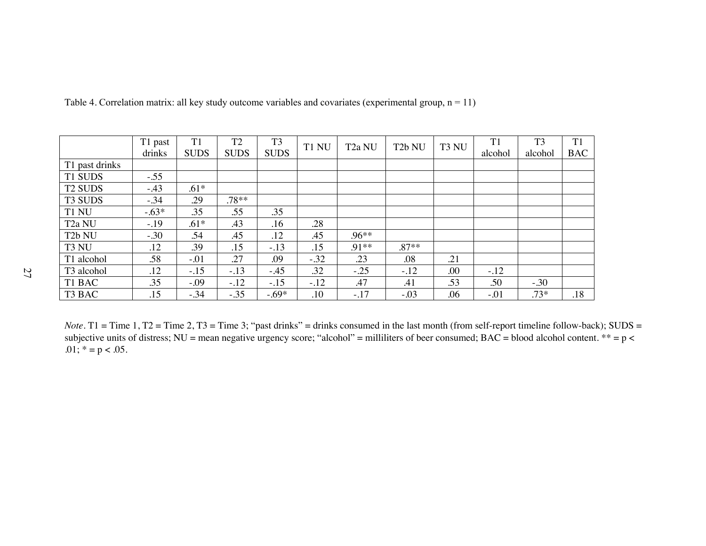|                        | T1 past | T <sub>1</sub> | T <sub>2</sub> | T <sub>3</sub> | T1 NU  | T <sub>2a</sub> NU | T <sub>2</sub> b NU | T <sub>3</sub> NU | T1      | T <sub>3</sub> | T1         |
|------------------------|---------|----------------|----------------|----------------|--------|--------------------|---------------------|-------------------|---------|----------------|------------|
|                        | drinks  | <b>SUDS</b>    | <b>SUDS</b>    | <b>SUDS</b>    |        |                    |                     |                   | alcohol | alcohol        | <b>BAC</b> |
| T1 past drinks         |         |                |                |                |        |                    |                     |                   |         |                |            |
| T1 SUDS                | $-.55$  |                |                |                |        |                    |                     |                   |         |                |            |
| <b>T2 SUDS</b>         | $-.43$  | $.61*$         |                |                |        |                    |                     |                   |         |                |            |
| T <sub>3</sub> SUDS    | $-.34$  | .29            | $.78**$        |                |        |                    |                     |                   |         |                |            |
| T1 NU                  | $-.63*$ | .35            | .55            | .35            |        |                    |                     |                   |         |                |            |
| T <sub>2a</sub> NU     | $-.19$  | $.61*$         | .43            | .16            | .28    |                    |                     |                   |         |                |            |
| T <sub>2</sub> b NU    | $-.30$  | .54            | .45            | .12            | .45    | $.96**$            |                     |                   |         |                |            |
| T3 NU                  | .12     | .39            | .15            | $-.13$         | .15    | $.91**$            | $.87**$             |                   |         |                |            |
| T1 alcohol             | .58     | $-.01$         | .27            | .09            | $-.32$ | .23                | .08                 | .21               |         |                |            |
| T <sub>3</sub> alcohol | .12     | $-.15$         | $-.13$         | $-45$          | .32    | $-.25$             | $-.12$              | .00               | $-.12$  |                |            |
| T1 BAC                 | .35     | $-.09$         | $-.12$         | $-.15$         | $-.12$ | .47                | .41                 | .53               | .50     | $-.30$         |            |
| T3 BAC                 | .15     | $-.34$         | $-35$          | $-.69*$        | .10    | $-.17$             | $-.03$              | .06               | $-0.01$ | $.73*$         | .18        |

Table 4. Correlation matrix: all key study outcome variables and covariates (experimental group,  $n = 11$ )

*Note*. T1 = Time 1, T2 = Time 2, T3 = Time 3; "past drinks" = drinks consumed in the last month (from self-report timeline follow-back); SUDS = subjective units of distress; NU = mean negative urgency score; "alcohol" = milliliters of beer consumed; BAC = blood alcohol content. \*\* =  $p$  < .01;  $* = p < .05$ .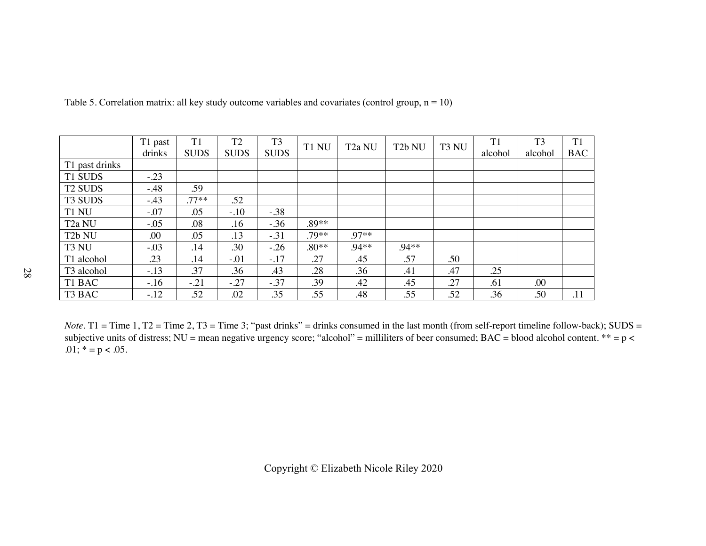|                     | T1 past | T1          | T <sub>2</sub> | T <sub>3</sub> | T1 NU   | T <sub>2</sub> a NU | T <sub>2</sub> b NU | T <sub>3</sub> NU | T1      | T <sub>3</sub> | T <sub>1</sub> |
|---------------------|---------|-------------|----------------|----------------|---------|---------------------|---------------------|-------------------|---------|----------------|----------------|
|                     | drinks  | <b>SUDS</b> | <b>SUDS</b>    | <b>SUDS</b>    |         |                     |                     |                   | alcohol | alcohol        | <b>BAC</b>     |
| T1 past drinks      |         |             |                |                |         |                     |                     |                   |         |                |                |
| T1 SUDS             | $-.23$  |             |                |                |         |                     |                     |                   |         |                |                |
| <b>T2 SUDS</b>      | $-.48$  | .59         |                |                |         |                     |                     |                   |         |                |                |
| T <sub>3</sub> SUDS | $-.43$  | $.77**$     | .52            |                |         |                     |                     |                   |         |                |                |
| T1 NU               | $-.07$  | .05         | $-.10$         | $-.38$         |         |                     |                     |                   |         |                |                |
| T <sub>2</sub> a NU | $-.05$  | .08         | .16            | $-.36$         | $.89**$ |                     |                     |                   |         |                |                |
| T <sub>2</sub> b NU | .00.    | .05         | .13            | $-.31$         | .79**   | $.97**$             |                     |                   |         |                |                |
| T3 NU               | $-.03$  | .14         | .30            | $-.26$         | $.80**$ | $.94**$             | $.94**$             |                   |         |                |                |
| T1 alcohol          | .23     | .14         | $-.01$         | $-.17$         | .27     | .45                 | .57                 | .50               |         |                |                |
| T3 alcohol          | $-.13$  | .37         | .36            | .43            | .28     | .36                 | .41                 | .47               | .25     |                |                |
| T1 BAC              | $-.16$  | $-.21$      | $-.27$         | $-.37$         | .39     | .42                 | .45                 | .27               | .61     | .00            |                |
| T3 BAC              | $-.12$  | .52         | .02            | .35            | .55     | .48                 | .55                 | .52               | .36     | .50            | .11            |

Table 5. Correlation matrix: all key study outcome variables and covariates (control group,  $n = 10$ )

*Note*. T1 = Time 1, T2 = Time 2, T3 = Time 3; "past drinks" = drinks consumed in the last month (from self-report timeline follow-back); SUDS = subjective units of distress; NU = mean negative urgency score; "alcohol" = milliliters of beer consumed; BAC = blood alcohol content.  $** = p$  < .01;  $* = p < .05$ .

Copyright © Elizabeth Nicole Riley 2020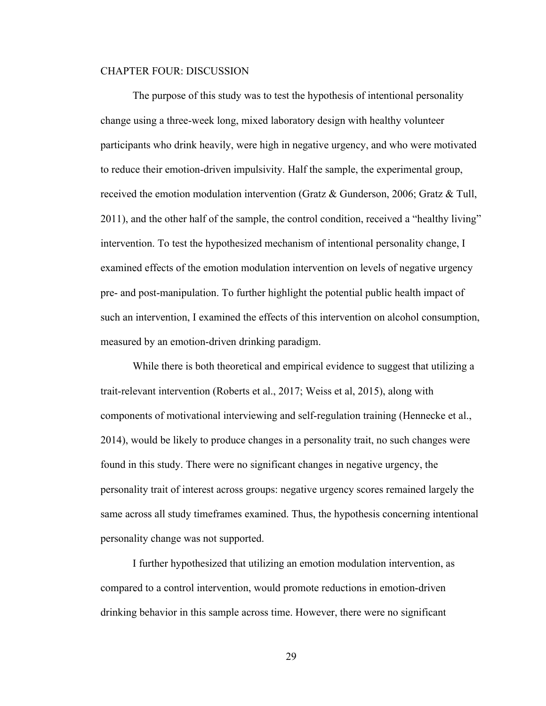#### CHAPTER FOUR: DISCUSSION

The purpose of this study was to test the hypothesis of intentional personality change using a three-week long, mixed laboratory design with healthy volunteer participants who drink heavily, were high in negative urgency, and who were motivated to reduce their emotion-driven impulsivity. Half the sample, the experimental group, received the emotion modulation intervention (Gratz & Gunderson, 2006; Gratz & Tull, 2011), and the other half of the sample, the control condition, received a "healthy living" intervention. To test the hypothesized mechanism of intentional personality change, I examined effects of the emotion modulation intervention on levels of negative urgency pre- and post-manipulation. To further highlight the potential public health impact of such an intervention, I examined the effects of this intervention on alcohol consumption, measured by an emotion-driven drinking paradigm.

While there is both theoretical and empirical evidence to suggest that utilizing a trait-relevant intervention (Roberts et al., 2017; Weiss et al, 2015), along with components of motivational interviewing and self-regulation training (Hennecke et al., 2014), would be likely to produce changes in a personality trait, no such changes were found in this study. There were no significant changes in negative urgency, the personality trait of interest across groups: negative urgency scores remained largely the same across all study timeframes examined. Thus, the hypothesis concerning intentional personality change was not supported.

I further hypothesized that utilizing an emotion modulation intervention, as compared to a control intervention, would promote reductions in emotion-driven drinking behavior in this sample across time. However, there were no significant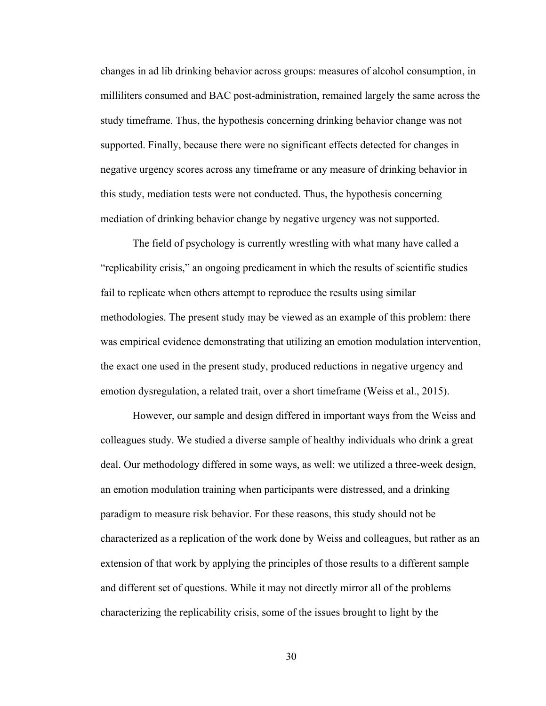changes in ad lib drinking behavior across groups: measures of alcohol consumption, in milliliters consumed and BAC post-administration, remained largely the same across the study timeframe. Thus, the hypothesis concerning drinking behavior change was not supported. Finally, because there were no significant effects detected for changes in negative urgency scores across any timeframe or any measure of drinking behavior in this study, mediation tests were not conducted. Thus, the hypothesis concerning mediation of drinking behavior change by negative urgency was not supported.

The field of psychology is currently wrestling with what many have called a "replicability crisis," an ongoing predicament in which the results of scientific studies fail to replicate when others attempt to reproduce the results using similar methodologies. The present study may be viewed as an example of this problem: there was empirical evidence demonstrating that utilizing an emotion modulation intervention, the exact one used in the present study, produced reductions in negative urgency and emotion dysregulation, a related trait, over a short timeframe (Weiss et al., 2015).

However, our sample and design differed in important ways from the Weiss and colleagues study. We studied a diverse sample of healthy individuals who drink a great deal. Our methodology differed in some ways, as well: we utilized a three-week design, an emotion modulation training when participants were distressed, and a drinking paradigm to measure risk behavior. For these reasons, this study should not be characterized as a replication of the work done by Weiss and colleagues, but rather as an extension of that work by applying the principles of those results to a different sample and different set of questions. While it may not directly mirror all of the problems characterizing the replicability crisis, some of the issues brought to light by the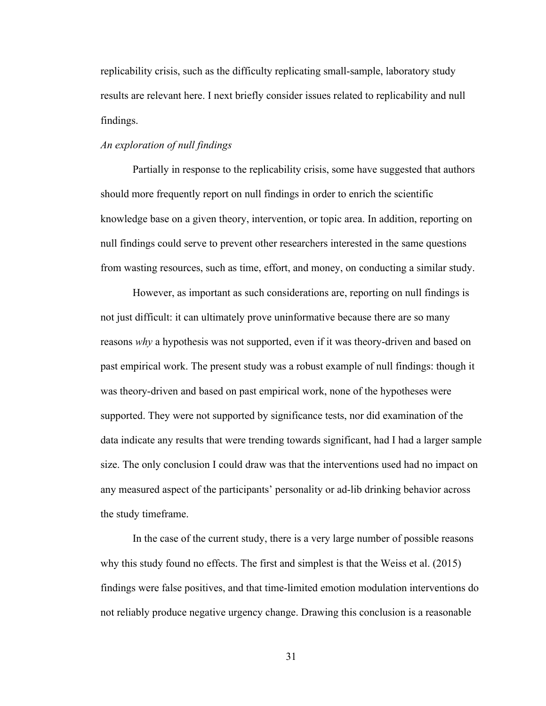replicability crisis, such as the difficulty replicating small-sample, laboratory study results are relevant here. I next briefly consider issues related to replicability and null findings.

# *An exploration of null findings*

Partially in response to the replicability crisis, some have suggested that authors should more frequently report on null findings in order to enrich the scientific knowledge base on a given theory, intervention, or topic area. In addition, reporting on null findings could serve to prevent other researchers interested in the same questions from wasting resources, such as time, effort, and money, on conducting a similar study.

However, as important as such considerations are, reporting on null findings is not just difficult: it can ultimately prove uninformative because there are so many reasons *why* a hypothesis was not supported, even if it was theory-driven and based on past empirical work. The present study was a robust example of null findings: though it was theory-driven and based on past empirical work, none of the hypotheses were supported. They were not supported by significance tests, nor did examination of the data indicate any results that were trending towards significant, had I had a larger sample size. The only conclusion I could draw was that the interventions used had no impact on any measured aspect of the participants' personality or ad-lib drinking behavior across the study timeframe.

In the case of the current study, there is a very large number of possible reasons why this study found no effects. The first and simplest is that the Weiss et al. (2015) findings were false positives, and that time-limited emotion modulation interventions do not reliably produce negative urgency change. Drawing this conclusion is a reasonable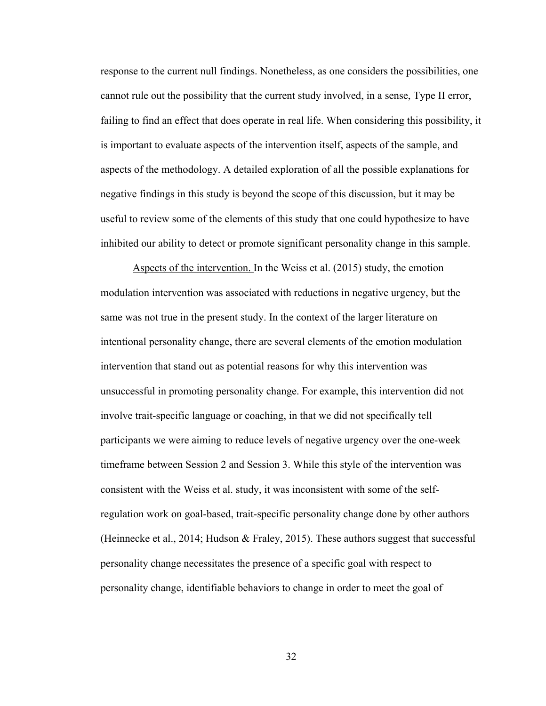response to the current null findings. Nonetheless, as one considers the possibilities, one cannot rule out the possibility that the current study involved, in a sense, Type II error, failing to find an effect that does operate in real life. When considering this possibility, it is important to evaluate aspects of the intervention itself, aspects of the sample, and aspects of the methodology. A detailed exploration of all the possible explanations for negative findings in this study is beyond the scope of this discussion, but it may be useful to review some of the elements of this study that one could hypothesize to have inhibited our ability to detect or promote significant personality change in this sample.

Aspects of the intervention. In the Weiss et al. (2015) study, the emotion modulation intervention was associated with reductions in negative urgency, but the same was not true in the present study. In the context of the larger literature on intentional personality change, there are several elements of the emotion modulation intervention that stand out as potential reasons for why this intervention was unsuccessful in promoting personality change. For example, this intervention did not involve trait-specific language or coaching, in that we did not specifically tell participants we were aiming to reduce levels of negative urgency over the one-week timeframe between Session 2 and Session 3. While this style of the intervention was consistent with the Weiss et al. study, it was inconsistent with some of the selfregulation work on goal-based, trait-specific personality change done by other authors (Heinnecke et al., 2014; Hudson & Fraley, 2015). These authors suggest that successful personality change necessitates the presence of a specific goal with respect to personality change, identifiable behaviors to change in order to meet the goal of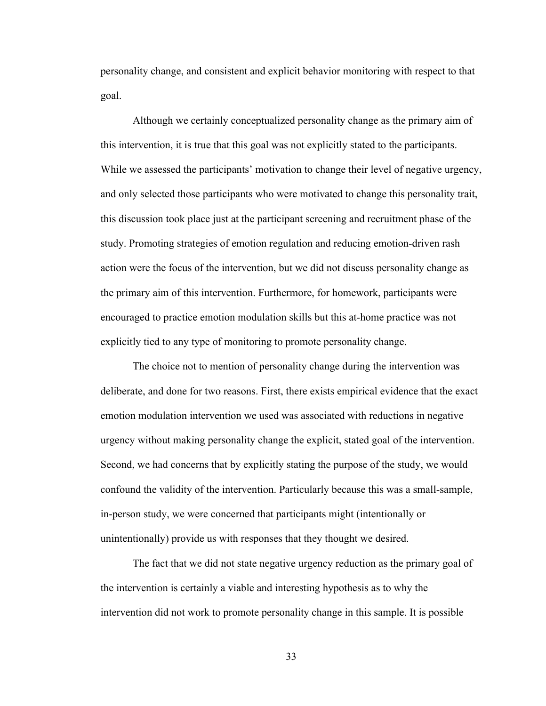personality change, and consistent and explicit behavior monitoring with respect to that goal.

Although we certainly conceptualized personality change as the primary aim of this intervention, it is true that this goal was not explicitly stated to the participants. While we assessed the participants' motivation to change their level of negative urgency, and only selected those participants who were motivated to change this personality trait, this discussion took place just at the participant screening and recruitment phase of the study. Promoting strategies of emotion regulation and reducing emotion-driven rash action were the focus of the intervention, but we did not discuss personality change as the primary aim of this intervention. Furthermore, for homework, participants were encouraged to practice emotion modulation skills but this at-home practice was not explicitly tied to any type of monitoring to promote personality change.

The choice not to mention of personality change during the intervention was deliberate, and done for two reasons. First, there exists empirical evidence that the exact emotion modulation intervention we used was associated with reductions in negative urgency without making personality change the explicit, stated goal of the intervention. Second, we had concerns that by explicitly stating the purpose of the study, we would confound the validity of the intervention. Particularly because this was a small-sample, in-person study, we were concerned that participants might (intentionally or unintentionally) provide us with responses that they thought we desired.

The fact that we did not state negative urgency reduction as the primary goal of the intervention is certainly a viable and interesting hypothesis as to why the intervention did not work to promote personality change in this sample. It is possible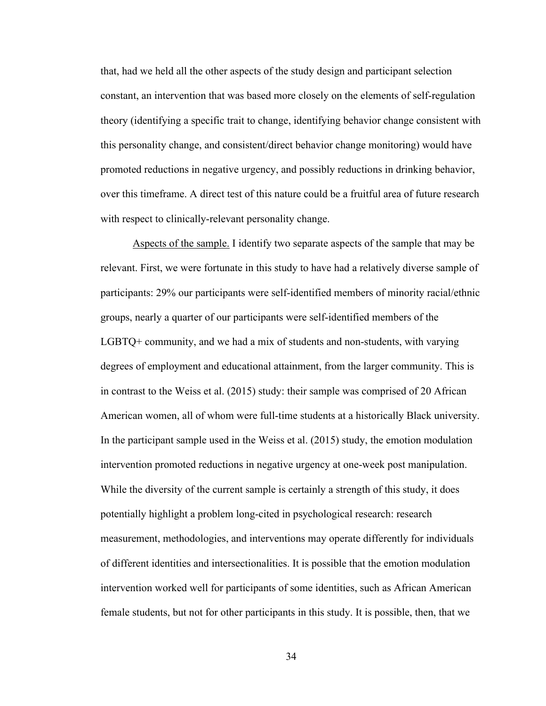that, had we held all the other aspects of the study design and participant selection constant, an intervention that was based more closely on the elements of self-regulation theory (identifying a specific trait to change, identifying behavior change consistent with this personality change, and consistent/direct behavior change monitoring) would have promoted reductions in negative urgency, and possibly reductions in drinking behavior, over this timeframe. A direct test of this nature could be a fruitful area of future research with respect to clinically-relevant personality change.

Aspects of the sample. I identify two separate aspects of the sample that may be relevant. First, we were fortunate in this study to have had a relatively diverse sample of participants: 29% our participants were self-identified members of minority racial/ethnic groups, nearly a quarter of our participants were self-identified members of the LGBTQ+ community, and we had a mix of students and non-students, with varying degrees of employment and educational attainment, from the larger community. This is in contrast to the Weiss et al. (2015) study: their sample was comprised of 20 African American women, all of whom were full-time students at a historically Black university. In the participant sample used in the Weiss et al. (2015) study, the emotion modulation intervention promoted reductions in negative urgency at one-week post manipulation. While the diversity of the current sample is certainly a strength of this study, it does potentially highlight a problem long-cited in psychological research: research measurement, methodologies, and interventions may operate differently for individuals of different identities and intersectionalities. It is possible that the emotion modulation intervention worked well for participants of some identities, such as African American female students, but not for other participants in this study. It is possible, then, that we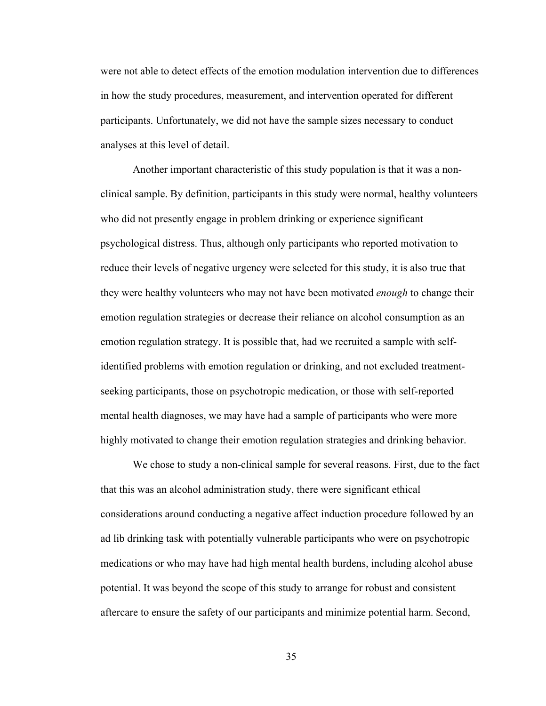were not able to detect effects of the emotion modulation intervention due to differences in how the study procedures, measurement, and intervention operated for different participants. Unfortunately, we did not have the sample sizes necessary to conduct analyses at this level of detail.

Another important characteristic of this study population is that it was a nonclinical sample. By definition, participants in this study were normal, healthy volunteers who did not presently engage in problem drinking or experience significant psychological distress. Thus, although only participants who reported motivation to reduce their levels of negative urgency were selected for this study, it is also true that they were healthy volunteers who may not have been motivated *enough* to change their emotion regulation strategies or decrease their reliance on alcohol consumption as an emotion regulation strategy. It is possible that, had we recruited a sample with selfidentified problems with emotion regulation or drinking, and not excluded treatmentseeking participants, those on psychotropic medication, or those with self-reported mental health diagnoses, we may have had a sample of participants who were more highly motivated to change their emotion regulation strategies and drinking behavior.

We chose to study a non-clinical sample for several reasons. First, due to the fact that this was an alcohol administration study, there were significant ethical considerations around conducting a negative affect induction procedure followed by an ad lib drinking task with potentially vulnerable participants who were on psychotropic medications or who may have had high mental health burdens, including alcohol abuse potential. It was beyond the scope of this study to arrange for robust and consistent aftercare to ensure the safety of our participants and minimize potential harm. Second,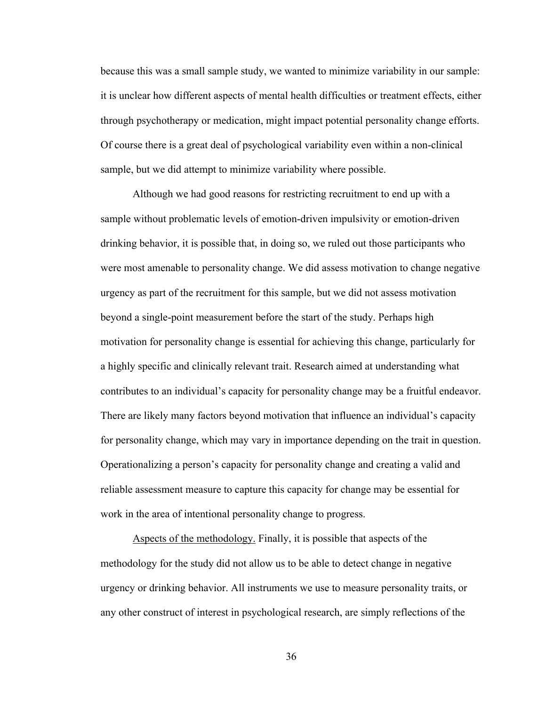because this was a small sample study, we wanted to minimize variability in our sample: it is unclear how different aspects of mental health difficulties or treatment effects, either through psychotherapy or medication, might impact potential personality change efforts. Of course there is a great deal of psychological variability even within a non-clinical sample, but we did attempt to minimize variability where possible.

Although we had good reasons for restricting recruitment to end up with a sample without problematic levels of emotion-driven impulsivity or emotion-driven drinking behavior, it is possible that, in doing so, we ruled out those participants who were most amenable to personality change. We did assess motivation to change negative urgency as part of the recruitment for this sample, but we did not assess motivation beyond a single-point measurement before the start of the study. Perhaps high motivation for personality change is essential for achieving this change, particularly for a highly specific and clinically relevant trait. Research aimed at understanding what contributes to an individual's capacity for personality change may be a fruitful endeavor. There are likely many factors beyond motivation that influence an individual's capacity for personality change, which may vary in importance depending on the trait in question. Operationalizing a person's capacity for personality change and creating a valid and reliable assessment measure to capture this capacity for change may be essential for work in the area of intentional personality change to progress.

Aspects of the methodology. Finally, it is possible that aspects of the methodology for the study did not allow us to be able to detect change in negative urgency or drinking behavior. All instruments we use to measure personality traits, or any other construct of interest in psychological research, are simply reflections of the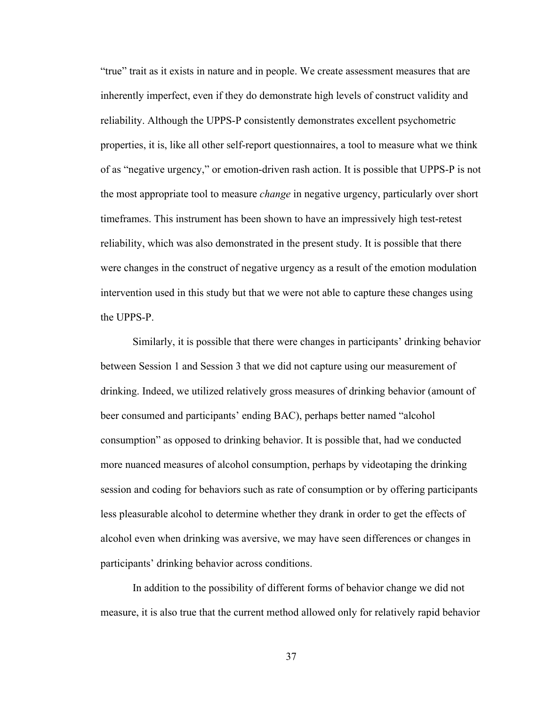"true" trait as it exists in nature and in people. We create assessment measures that are inherently imperfect, even if they do demonstrate high levels of construct validity and reliability. Although the UPPS-P consistently demonstrates excellent psychometric properties, it is, like all other self-report questionnaires, a tool to measure what we think of as "negative urgency," or emotion-driven rash action. It is possible that UPPS-P is not the most appropriate tool to measure *change* in negative urgency, particularly over short timeframes. This instrument has been shown to have an impressively high test-retest reliability, which was also demonstrated in the present study. It is possible that there were changes in the construct of negative urgency as a result of the emotion modulation intervention used in this study but that we were not able to capture these changes using the UPPS-P.

Similarly, it is possible that there were changes in participants' drinking behavior between Session 1 and Session 3 that we did not capture using our measurement of drinking. Indeed, we utilized relatively gross measures of drinking behavior (amount of beer consumed and participants' ending BAC), perhaps better named "alcohol consumption" as opposed to drinking behavior. It is possible that, had we conducted more nuanced measures of alcohol consumption, perhaps by videotaping the drinking session and coding for behaviors such as rate of consumption or by offering participants less pleasurable alcohol to determine whether they drank in order to get the effects of alcohol even when drinking was aversive, we may have seen differences or changes in participants' drinking behavior across conditions.

In addition to the possibility of different forms of behavior change we did not measure, it is also true that the current method allowed only for relatively rapid behavior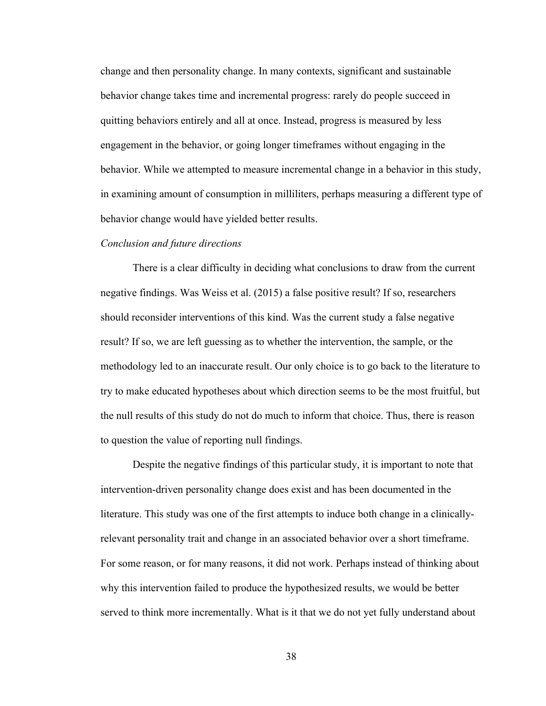change and then personality change. In many contexts, significant and sustainable behavior change takes time and incremental progress: rarely do people succeed in quitting behaviors entirely and all at once. Instead, progress is measured by less engagement in the behavior, or going longer timeframes without engaging in the behavior. While we attempted to measure incremental change in a behavior in this study, in examining amount of consumption in milliliters, perhaps measuring a different type of behavior change would have yielded better results.

#### *Conclusion and future directions*

There is a clear difficulty in deciding what conclusions to draw from the current negative findings. Was Weiss et al. (2015) a false positive result? If so, researchers should reconsider interventions of this kind. Was the current study a false negative result? If so, we are left guessing as to whether the intervention, the sample, or the methodology led to an inaccurate result. Our only choice is to go back to the literature to try to make educated hypotheses about which direction seems to be the most fruitful, but the null results of this study do not do much to inform that choice. Thus, there is reason to question the value of reporting null findings.

Despite the negative findings of this particular study, it is important to note that intervention-driven personality change does exist and has been documented in the literature. This study was one of the first attempts to induce both change in a clinicallyrelevant personality trait and change in an associated behavior over a short timeframe. For some reason, or for many reasons, it did not work. Perhaps instead of thinking about why this intervention failed to produce the hypothesized results, we would be better served to think more incrementally. What is it that we do not yet fully understand about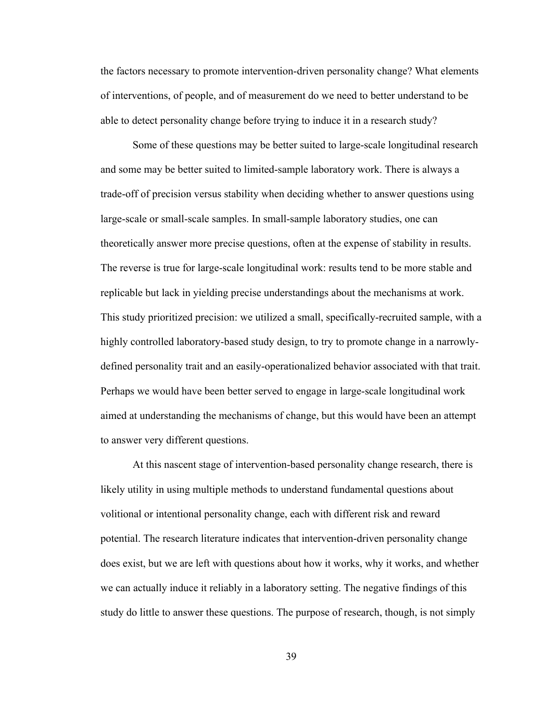the factors necessary to promote intervention-driven personality change? What elements of interventions, of people, and of measurement do we need to better understand to be able to detect personality change before trying to induce it in a research study?

Some of these questions may be better suited to large-scale longitudinal research and some may be better suited to limited-sample laboratory work. There is always a trade-off of precision versus stability when deciding whether to answer questions using large-scale or small-scale samples. In small-sample laboratory studies, one can theoretically answer more precise questions, often at the expense of stability in results. The reverse is true for large-scale longitudinal work: results tend to be more stable and replicable but lack in yielding precise understandings about the mechanisms at work. This study prioritized precision: we utilized a small, specifically-recruited sample, with a highly controlled laboratory-based study design, to try to promote change in a narrowlydefined personality trait and an easily-operationalized behavior associated with that trait. Perhaps we would have been better served to engage in large-scale longitudinal work aimed at understanding the mechanisms of change, but this would have been an attempt to answer very different questions.

At this nascent stage of intervention-based personality change research, there is likely utility in using multiple methods to understand fundamental questions about volitional or intentional personality change, each with different risk and reward potential. The research literature indicates that intervention-driven personality change does exist, but we are left with questions about how it works, why it works, and whether we can actually induce it reliably in a laboratory setting. The negative findings of this study do little to answer these questions. The purpose of research, though, is not simply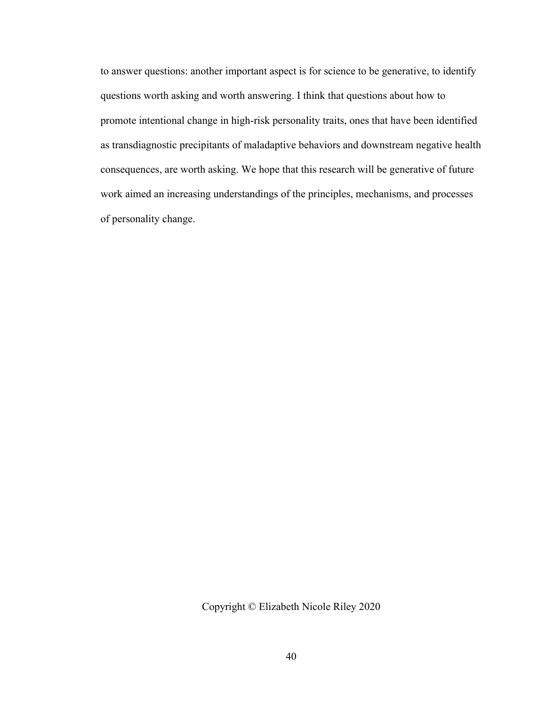to answer questions: another important aspect is for science to be generative, to identify questions worth asking and worth answering. I think that questions about how to promote intentional change in high-risk personality traits, ones that have been identified as transdiagnostic precipitants of maladaptive behaviors and downstream negative health consequences, are worth asking. We hope that this research will be generative of future work aimed an increasing understandings of the principles, mechanisms, and processes of personality change.

Copyright © Elizabeth Nicole Riley 2020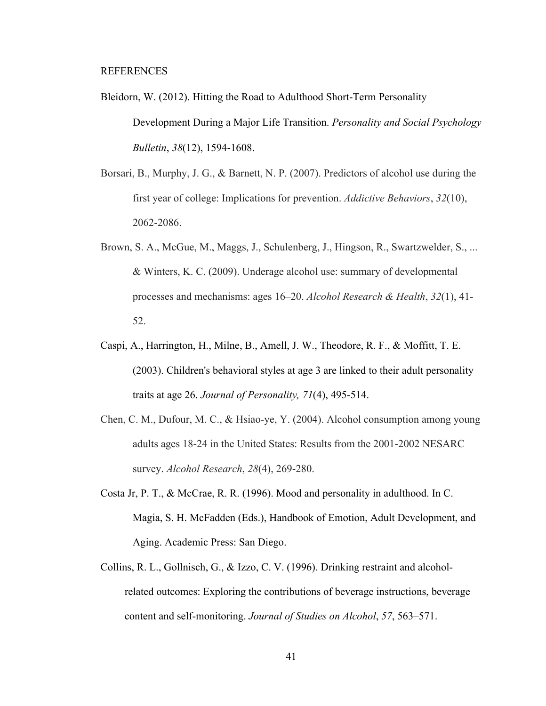#### REFERENCES

- Bleidorn, W. (2012). Hitting the Road to Adulthood Short-Term Personality Development During a Major Life Transition. *Personality and Social Psychology Bulletin*, *38*(12), 1594-1608.
- Borsari, B., Murphy, J. G., & Barnett, N. P. (2007). Predictors of alcohol use during the first year of college: Implications for prevention. *Addictive Behaviors*, *32*(10), 2062-2086.
- Brown, S. A., McGue, M., Maggs, J., Schulenberg, J., Hingson, R., Swartzwelder, S., ... & Winters, K. C. (2009). Underage alcohol use: summary of developmental processes and mechanisms: ages 16–20. *Alcohol Research & Health*, *32*(1), 41- 52.
- Caspi, A., Harrington, H., Milne, B., Amell, J. W., Theodore, R. F., & Moffitt, T. E. (2003). Children's behavioral styles at age 3 are linked to their adult personality traits at age 26. *Journal of Personality, 71*(4), 495-514.
- Chen, C. M., Dufour, M. C., & Hsiao-ye, Y. (2004). Alcohol consumption among young adults ages 18-24 in the United States: Results from the 2001-2002 NESARC survey. *Alcohol Research*, *28*(4), 269-280.
- Costa Jr, P. T., & McCrae, R. R. (1996). Mood and personality in adulthood. In C. Magia, S. H. McFadden (Eds.), Handbook of Emotion, Adult Development, and Aging. Academic Press: San Diego.
- Collins, R. L., Gollnisch, G., & Izzo, C. V. (1996). Drinking restraint and alcoholrelated outcomes: Exploring the contributions of beverage instructions, beverage content and self-monitoring. *Journal of Studies on Alcohol*, *57*, 563–571.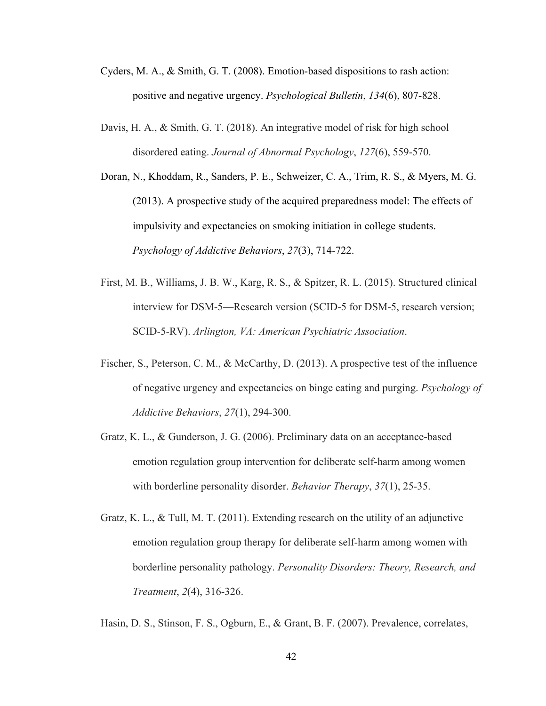- Cyders, M. A., & Smith, G. T. (2008). Emotion-based dispositions to rash action: positive and negative urgency. *Psychological Bulletin*, *134*(6), 807-828.
- Davis, H. A., & Smith, G. T. (2018). An integrative model of risk for high school disordered eating. *Journal of Abnormal Psychology*, *127*(6), 559-570.
- Doran, N., Khoddam, R., Sanders, P. E., Schweizer, C. A., Trim, R. S., & Myers, M. G. (2013). A prospective study of the acquired preparedness model: The effects of impulsivity and expectancies on smoking initiation in college students. *Psychology of Addictive Behaviors*, *27*(3), 714-722.
- First, M. B., Williams, J. B. W., Karg, R. S., & Spitzer, R. L. (2015). Structured clinical interview for DSM-5—Research version (SCID-5 for DSM-5, research version; SCID-5-RV). *Arlington, VA: American Psychiatric Association*.
- Fischer, S., Peterson, C. M., & McCarthy, D. (2013). A prospective test of the influence of negative urgency and expectancies on binge eating and purging. *Psychology of Addictive Behaviors*, *27*(1), 294-300.
- Gratz, K. L., & Gunderson, J. G. (2006). Preliminary data on an acceptance-based emotion regulation group intervention for deliberate self-harm among women with borderline personality disorder. *Behavior Therapy*, *37*(1), 25-35.
- Gratz, K. L., & Tull, M. T. (2011). Extending research on the utility of an adjunctive emotion regulation group therapy for deliberate self-harm among women with borderline personality pathology. *Personality Disorders: Theory, Research, and Treatment*, *2*(4), 316-326.

Hasin, D. S., Stinson, F. S., Ogburn, E., & Grant, B. F. (2007). Prevalence, correlates,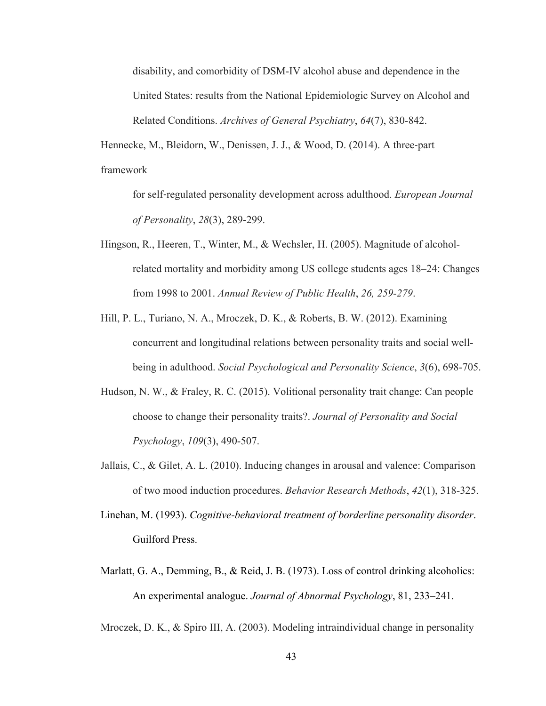disability, and comorbidity of DSM-IV alcohol abuse and dependence in the United States: results from the National Epidemiologic Survey on Alcohol and Related Conditions. *Archives of General Psychiatry*, *64*(7), 830-842.

Hennecke, M., Bleidorn, W., Denissen, J. J., & Wood, D. (2014). A three-part framework

for self‐regulated personality development across adulthood. *European Journal of Personality*, *28*(3), 289-299.

- Hingson, R., Heeren, T., Winter, M., & Wechsler, H. (2005). Magnitude of alcoholrelated mortality and morbidity among US college students ages 18–24: Changes from 1998 to 2001. *Annual Review of Public Health*, *26, 259-279*.
- Hill, P. L., Turiano, N. A., Mroczek, D. K., & Roberts, B. W. (2012). Examining concurrent and longitudinal relations between personality traits and social wellbeing in adulthood. *Social Psychological and Personality Science*, *3*(6), 698-705.
- Hudson, N. W., & Fraley, R. C. (2015). Volitional personality trait change: Can people choose to change their personality traits?. *Journal of Personality and Social Psychology*, *109*(3), 490-507.
- Jallais, C., & Gilet, A. L. (2010). Inducing changes in arousal and valence: Comparison of two mood induction procedures. *Behavior Research Methods*, *42*(1), 318-325.
- Linehan, M. (1993). *Cognitive-behavioral treatment of borderline personality disorder*. Guilford Press.
- Marlatt, G. A., Demming, B., & Reid, J. B. (1973). Loss of control drinking alcoholics: An experimental analogue. *Journal of Abnormal Psychology*, 81, 233–241.

Mroczek, D. K., & Spiro III, A. (2003). Modeling intraindividual change in personality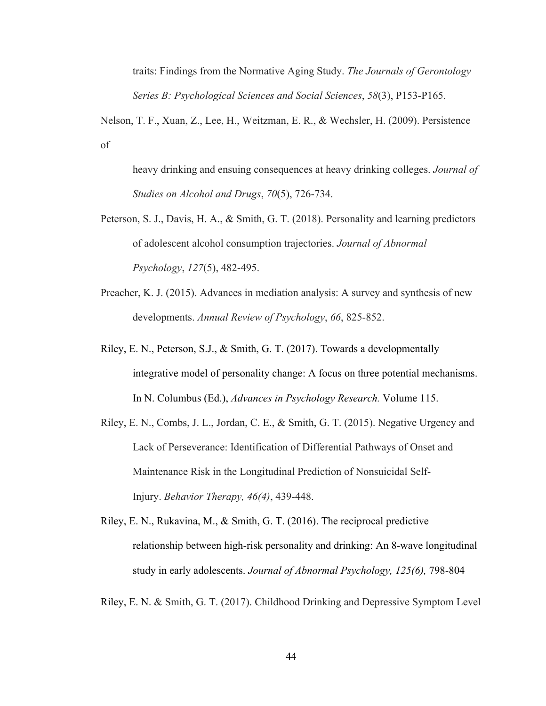traits: Findings from the Normative Aging Study. *The Journals of Gerontology Series B: Psychological Sciences and Social Sciences*, *58*(3), P153-P165.

Nelson, T. F., Xuan, Z., Lee, H., Weitzman, E. R., & Wechsler, H. (2009). Persistence of

heavy drinking and ensuing consequences at heavy drinking colleges. *Journal of Studies on Alcohol and Drugs*, *70*(5), 726-734.

- Peterson, S. J., Davis, H. A., & Smith, G. T. (2018). Personality and learning predictors of adolescent alcohol consumption trajectories. *Journal of Abnormal Psychology*, *127*(5), 482-495.
- Preacher, K. J. (2015). Advances in mediation analysis: A survey and synthesis of new developments. *Annual Review of Psychology*, *66*, 825-852.
- Riley, E. N., Peterson, S.J., & Smith, G. T. (2017). Towards a developmentally integrative model of personality change: A focus on three potential mechanisms. In N. Columbus (Ed.), *Advances in Psychology Research.* Volume 115.
- Riley, E. N., Combs, J. L., Jordan, C. E., & Smith, G. T. (2015). Negative Urgency and Lack of Perseverance: Identification of Differential Pathways of Onset and Maintenance Risk in the Longitudinal Prediction of Nonsuicidal Self-Injury. *Behavior Therapy, 46(4)*, 439-448.
- Riley, E. N., Rukavina, M., & Smith, G. T. (2016). The reciprocal predictive relationship between high-risk personality and drinking: An 8-wave longitudinal study in early adolescents. *Journal of Abnormal Psychology, 125(6),* 798-804

Riley, E. N. & Smith, G. T. (2017). Childhood Drinking and Depressive Symptom Level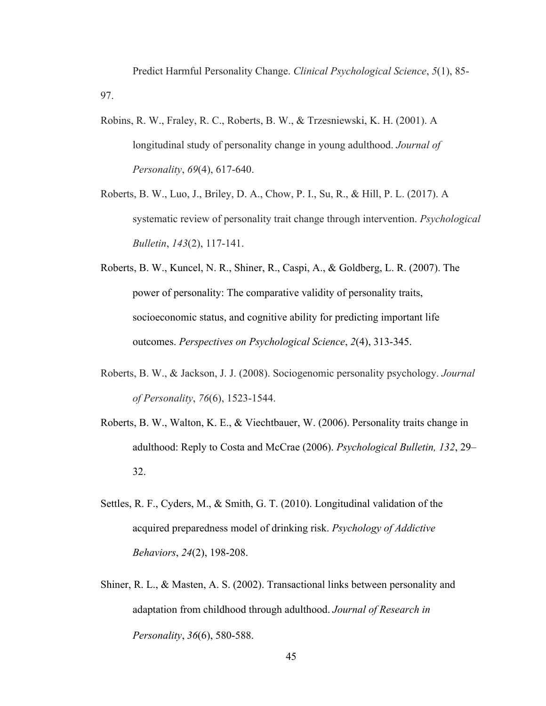Predict Harmful Personality Change. *Clinical Psychological Science*, *5*(1), 85- 97.

- Robins, R. W., Fraley, R. C., Roberts, B. W., & Trzesniewski, K. H. (2001). A longitudinal study of personality change in young adulthood. *Journal of Personality*, *69*(4), 617-640.
- Roberts, B. W., Luo, J., Briley, D. A., Chow, P. I., Su, R., & Hill, P. L. (2017). A systematic review of personality trait change through intervention. *Psychological Bulletin*, *143*(2), 117-141.
- Roberts, B. W., Kuncel, N. R., Shiner, R., Caspi, A., & Goldberg, L. R. (2007). The power of personality: The comparative validity of personality traits, socioeconomic status, and cognitive ability for predicting important life outcomes. *Perspectives on Psychological Science*, *2*(4), 313-345.
- Roberts, B. W., & Jackson, J. J. (2008). Sociogenomic personality psychology. *Journal of Personality*, *76*(6), 1523-1544.
- Roberts, B. W., Walton, K. E., & Viechtbauer, W. (2006). Personality traits change in adulthood: Reply to Costa and McCrae (2006). *Psychological Bulletin, 132*, 29– 32.
- Settles, R. F., Cyders, M., & Smith, G. T. (2010). Longitudinal validation of the acquired preparedness model of drinking risk. *Psychology of Addictive Behaviors*, *24*(2), 198-208.
- Shiner, R. L., & Masten, A. S. (2002). Transactional links between personality and adaptation from childhood through adulthood. *Journal of Research in Personality*, *36*(6), 580-588.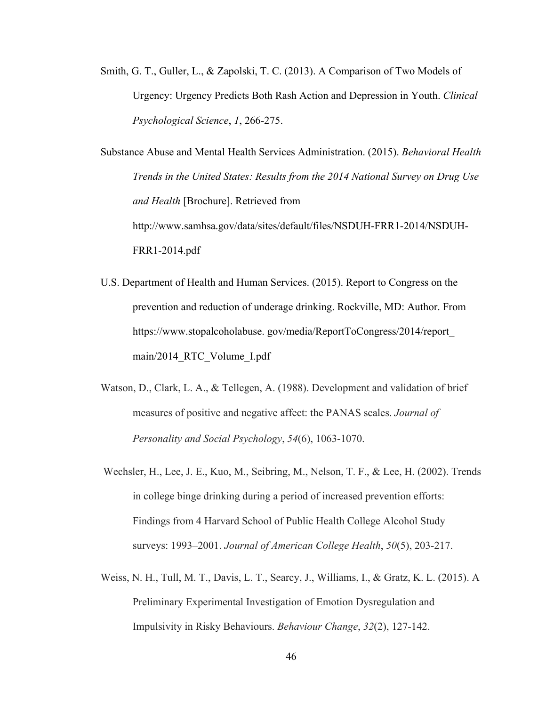Smith, G. T., Guller, L., & Zapolski, T. C. (2013). A Comparison of Two Models of Urgency: Urgency Predicts Both Rash Action and Depression in Youth. *Clinical Psychological Science*, *1*, 266-275.

Substance Abuse and Mental Health Services Administration. (2015). *Behavioral Health Trends in the United States: Results from the 2014 National Survey on Drug Use and Health* [Brochure]. Retrieved from http://www.samhsa.gov/data/sites/default/files/NSDUH-FRR1-2014/NSDUH-FRR1-2014.pdf

- U.S. Department of Health and Human Services. (2015). Report to Congress on the prevention and reduction of underage drinking. Rockville, MD: Author. From https://www.stopalcoholabuse. gov/media/ReportToCongress/2014/report\_ main/2014 RTC Volume I.pdf
- Watson, D., Clark, L. A., & Tellegen, A. (1988). Development and validation of brief measures of positive and negative affect: the PANAS scales. *Journal of Personality and Social Psychology*, *54*(6), 1063-1070.
- Wechsler, H., Lee, J. E., Kuo, M., Seibring, M., Nelson, T. F., & Lee, H. (2002). Trends in college binge drinking during a period of increased prevention efforts: Findings from 4 Harvard School of Public Health College Alcohol Study surveys: 1993–2001. *Journal of American College Health*, *50*(5), 203-217.
- Weiss, N. H., Tull, M. T., Davis, L. T., Searcy, J., Williams, I., & Gratz, K. L. (2015). A Preliminary Experimental Investigation of Emotion Dysregulation and Impulsivity in Risky Behaviours. *Behaviour Change*, *32*(2), 127-142.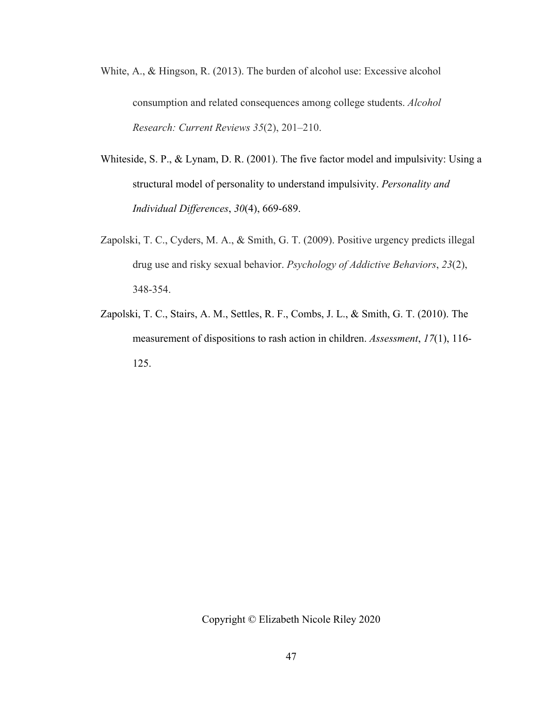- White, A., & Hingson, R. (2013). The burden of alcohol use: Excessive alcohol consumption and related consequences among college students. *Alcohol Research: Current Reviews 35*(2), 201–210.
- Whiteside, S. P., & Lynam, D. R. (2001). The five factor model and impulsivity: Using a structural model of personality to understand impulsivity. *Personality and Individual Differences*, *30*(4), 669-689.
- Zapolski, T. C., Cyders, M. A., & Smith, G. T. (2009). Positive urgency predicts illegal drug use and risky sexual behavior. *Psychology of Addictive Behaviors*, *23*(2), 348-354.
- Zapolski, T. C., Stairs, A. M., Settles, R. F., Combs, J. L., & Smith, G. T. (2010). The measurement of dispositions to rash action in children. *Assessment*, *17*(1), 116- 125.

Copyright © Elizabeth Nicole Riley 2020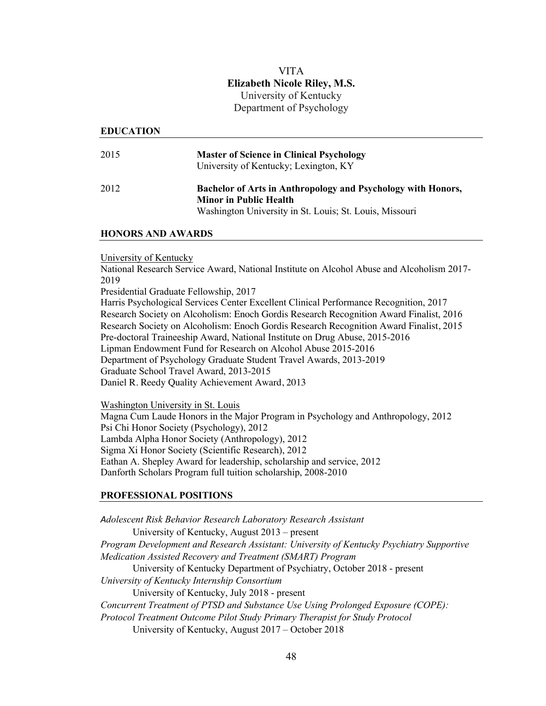# VITA **Elizabeth Nicole Riley, M.S.** University of Kentucky Department of Psychology

#### **EDUCATION**

| 2015 | <b>Master of Science in Clinical Psychology</b><br>University of Kentucky; Lexington, KY                                                                 |
|------|----------------------------------------------------------------------------------------------------------------------------------------------------------|
| 2012 | Bachelor of Arts in Anthropology and Psychology with Honors,<br><b>Minor in Public Health</b><br>Washington University in St. Louis; St. Louis, Missouri |

#### **HONORS AND AWARDS**

#### University of Kentucky

National Research Service Award, National Institute on Alcohol Abuse and Alcoholism 2017- 2019

Presidential Graduate Fellowship, 2017

Harris Psychological Services Center Excellent Clinical Performance Recognition, 2017 Research Society on Alcoholism: Enoch Gordis Research Recognition Award Finalist, 2016 Research Society on Alcoholism: Enoch Gordis Research Recognition Award Finalist, 2015 Pre-doctoral Traineeship Award, National Institute on Drug Abuse, 2015-2016 Lipman Endowment Fund for Research on Alcohol Abuse 2015-2016 Department of Psychology Graduate Student Travel Awards, 2013-2019 Graduate School Travel Award, 2013-2015 Daniel R. Reedy Quality Achievement Award, 2013

Washington University in St. Louis

Magna Cum Laude Honors in the Major Program in Psychology and Anthropology, 2012 Psi Chi Honor Society (Psychology), 2012 Lambda Alpha Honor Society (Anthropology), 2012 Sigma Xi Honor Society (Scientific Research), 2012 Eathan A. Shepley Award for leadership, scholarship and service, 2012 Danforth Scholars Program full tuition scholarship, 2008-2010

## **PROFESSIONAL POSITIONS**

*Adolescent Risk Behavior Research Laboratory Research Assistant* University of Kentucky, August 2013 – present *Program Development and Research Assistant: University of Kentucky Psychiatry Supportive Medication Assisted Recovery and Treatment (SMART) Program* University of Kentucky Department of Psychiatry, October 2018 - present *University of Kentucky Internship Consortium* University of Kentucky, July 2018 - present *Concurrent Treatment of PTSD and Substance Use Using Prolonged Exposure (COPE): Protocol Treatment Outcome Pilot Study Primary Therapist for Study Protocol* University of Kentucky, August 2017 – October 2018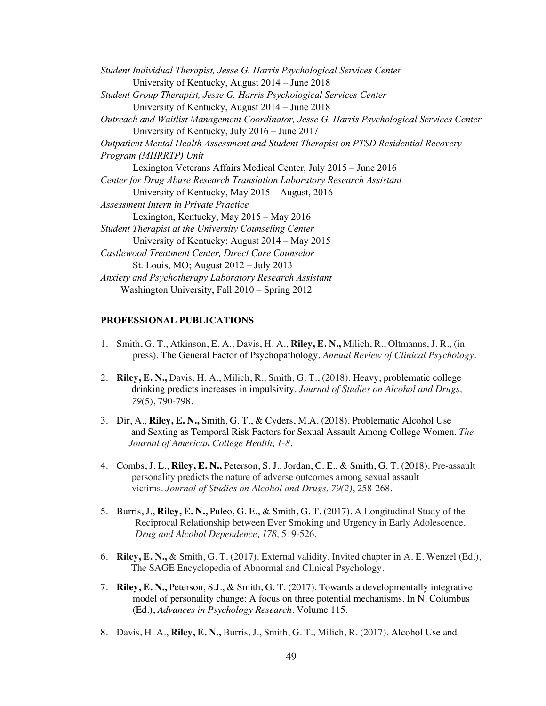| Student Individual Therapist, Jesse G. Harris Psychological Services Center                 |
|---------------------------------------------------------------------------------------------|
| University of Kentucky, August 2014 – June 2018                                             |
| Student Group Therapist, Jesse G. Harris Psychological Services Center                      |
| University of Kentucky, August $2014 -$ June $2018$                                         |
| Outreach and Waitlist Management Coordinator, Jesse G. Harris Psychological Services Center |
| University of Kentucky, July 2016 – June 2017                                               |
| Outpatient Mental Health Assessment and Student Therapist on PTSD Residential Recovery      |
| Program (MHRRTP) Unit                                                                       |
| Lexington Veterans Affairs Medical Center, July 2015 – June 2016                            |
| Center for Drug Abuse Research Translation Laboratory Research Assistant                    |
| University of Kentucky, May 2015 – August, 2016                                             |
| Assessment Intern in Private Practice                                                       |
| Lexington, Kentucky, May 2015 – May 2016                                                    |
| Student Therapist at the University Counseling Center                                       |
| University of Kentucky; August $2014 - May 2015$                                            |
| Castlewood Treatment Center, Direct Care Counselor                                          |
| St. Louis, MO; August $2012 - \text{July } 2013$                                            |
| Anxiety and Psychotherapy Laboratory Research Assistant                                     |
| Washington University, Fall 2010 – Spring 2012                                              |

#### **PROFESSIONAL PUBLICATIONS**

- 1. Smith, G. T., Atkinson, E. A., Davis, H. A., **Riley, E. N.,** Milich, R., Oltmanns, J. R., (in press). The General Factor of Psychopathology*. Annual Review of Clinical Psychology.*
- 2. **Riley, E. N.,** Davis, H. A., Milich, R., Smith, G. T., (2018). Heavy, problematic college drinking predicts increases in impulsivity*. Journal of Studies on Alcohol and Drugs, 79*(5), 790-798.
- 3. Dir, A., **Riley, E. N.,** Smith, G. T., & Cyders, M.A. (2018). Problematic Alcohol Use and Sexting as Temporal Risk Factors for Sexual Assault Among College Women. *The Journal of American College Health, 1-8.*
- 4. Combs, J. L., **Riley, E. N.,** Peterson, S. J., Jordan, C. E., & Smith, G. T. (2018). Pre-assault personality predicts the nature of adverse outcomes among sexual assault victims. *Journal of Studies on Alcohol and Drugs, 79(2)*, 258-268.
- 5. Burris, J., **Riley, E. N.,** Puleo, G. E., & Smith, G. T. (2017). A Longitudinal Study of the Reciprocal Relationship between Ever Smoking and Urgency in Early Adolescence. *Drug and Alcohol Dependence, 178,* 519-526*.*
- 6. **Riley, E. N.,** & Smith, G. T. (2017). External validity. Invited chapter in A. E. Wenzel (Ed.), The SAGE Encyclopedia of Abnormal and Clinical Psychology.
- 7. **Riley, E. N.,** Peterson, S.J., & Smith, G. T. (2017). Towards a developmentally integrative model of personality change: A focus on three potential mechanisms. In N. Columbus (Ed.), *Advances in Psychology Research.* Volume 115.
- 8. Davis, H. A., **Riley, E. N.,** Burris, J., Smith, G. T., Milich, R. (2017). Alcohol Use and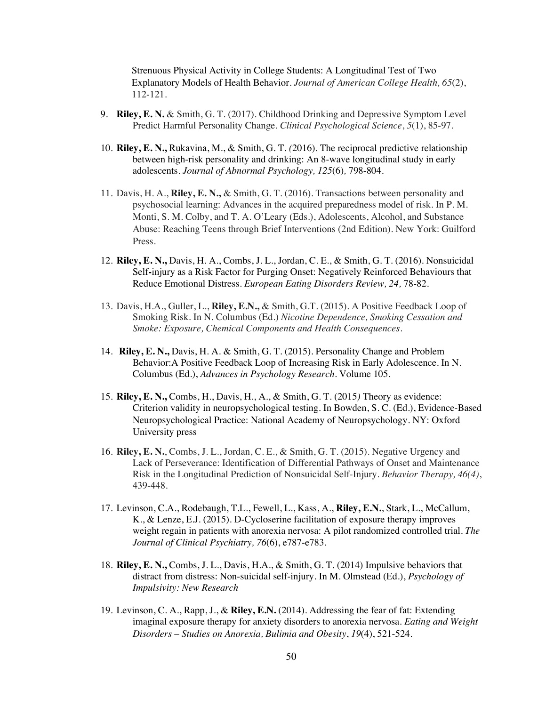Strenuous Physical Activity in College Students: A Longitudinal Test of Two Explanatory Models of Health Behavior. *Journal of American College Health, 65*(2), 112-121*.*

- 9. **Riley, E. N.** & Smith, G. T. (2017). Childhood Drinking and Depressive Symptom Level Predict Harmful Personality Change. *Clinical Psychological Science*, *5*(1), 85-97.
- 10. **Riley, E. N.,** Rukavina, M., & Smith, G. T. *(*2016). The reciprocal predictive relationship between high-risk personality and drinking: An 8-wave longitudinal study in early adolescents. *Journal of Abnormal Psychology, 125*(6)*,* 798-804*.*
- 11. Davis, H. A., **Riley, E. N.,** & Smith, G. T. (2016). Transactions between personality and psychosocial learning: Advances in the acquired preparedness model of risk. In P. M. Monti, S. M. Colby, and T. A. O'Leary (Eds.), Adolescents, Alcohol, and Substance Abuse: Reaching Teens through Brief Interventions (2nd Edition). New York: Guilford Press.
- 12. **Riley, E. N.,** Davis, H. A., Combs, J. L., Jordan, C. E., & Smith, G. T. (2016). Nonsuicidal Self**-**injury as a Risk Factor for Purging Onset: Negatively Reinforced Behaviours that Reduce Emotional Distress. *European Eating Disorders Review, 24,* 78-82.
- 13. Davis, H.A., Guller, L., **Riley, E.N.,** & Smith, G.T. (2015). A Positive Feedback Loop of Smoking Risk. In N. Columbus (Ed.) *Nicotine Dependence, Smoking Cessation and Smoke: Exposure, Chemical Components and Health Consequences.*
- 14. **Riley, E. N.,** Davis, H. A. & Smith, G. T. (2015). Personality Change and Problem Behavior:A Positive Feedback Loop of Increasing Risk in Early Adolescence. In N. Columbus (Ed.), *Advances in Psychology Research.* Volume 105.
- 15. **Riley, E. N.,** Combs, H., Davis, H., A., & Smith, G. T. (2015*)* Theory as evidence: Criterion validity in neuropsychological testing. In Bowden, S. C. (Ed.), Evidence-Based Neuropsychological Practice: National Academy of Neuropsychology. NY: Oxford University press
- 16. **Riley, E. N.**, Combs, J. L., Jordan, C. E., & Smith, G. T. (2015). Negative Urgency and Lack of Perseverance: Identification of Differential Pathways of Onset and Maintenance Risk in the Longitudinal Prediction of Nonsuicidal Self-Injury. *Behavior Therapy, 46(4)*, 439-448.
- 17. Levinson, C.A., Rodebaugh, T.L., Fewell, L., Kass, A., **Riley, E.N.**, Stark, L., McCallum, K., & Lenze, E.J. (2015). D-Cycloserine facilitation of exposure therapy improves weight regain in patients with anorexia nervosa: A pilot randomized controlled trial. *The Journal of Clinical Psychiatry, 76*(6), e787-e783.
- 18. **Riley, E. N.,** Combs, J. L., Davis, H.A., & Smith, G. T. (2014) Impulsive behaviors that distract from distress: Non-suicidal self-injury. In M. Olmstead (Ed.), *Psychology of Impulsivity: New Research*
- 19. Levinson, C. A., Rapp, J., & **Riley, E.N.** (2014). Addressing the fear of fat: Extending imaginal exposure therapy for anxiety disorders to anorexia nervosa. *Eating and Weight Disorders – Studies on Anorexia, Bulimia and Obesity*, *19*(4), 521-524*.*